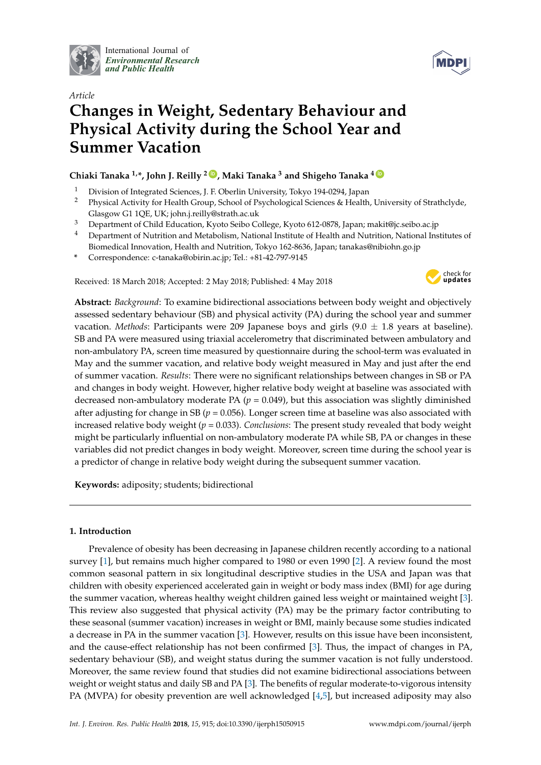

International Journal of *[Environmental Research](http://www.mdpi.com/journal/ijerph) and Public Health*



# *Article* **Changes in Weight, Sedentary Behaviour and Physical Activity during the School Year and Summer Vacation**

### **Chiaki Tanaka 1,\*, John J. Reilly <sup>2</sup> [ID](https://orcid.org/0000-0001-6165-5471) , Maki Tanaka <sup>3</sup> and Shigeho Tanaka <sup>4</sup> [ID](https://orcid.org/0000-0002-8933-3041)**

- <sup>1</sup> Division of Integrated Sciences, J. F. Oberlin University, Tokyo 194-0294, Japan
- <sup>2</sup> Physical Activity for Health Group, School of Psychological Sciences & Health, University of Strathclyde, Glasgow G1 1QE, UK; john.j.reilly@strath.ac.uk
- <sup>3</sup> Department of Child Education, Kyoto Seibo College, Kyoto 612-0878, Japan; makit@jc.seibo.ac.jp
- <sup>4</sup> Department of Nutrition and Metabolism, National Institute of Health and Nutrition, National Institutes of Biomedical Innovation, Health and Nutrition, Tokyo 162-8636, Japan; tanakas@nibiohn.go.jp
- **\*** Correspondence: c-tanaka@obirin.ac.jp; Tel.: +81-42-797-9145

Received: 18 March 2018; Accepted: 2 May 2018; Published: 4 May 2018



**Abstract:** *Background*: To examine bidirectional associations between body weight and objectively assessed sedentary behaviour (SB) and physical activity (PA) during the school year and summer vacation. *Methods*: Participants were 209 Japanese boys and girls  $(9.0 \pm 1.8)$  years at baseline). SB and PA were measured using triaxial accelerometry that discriminated between ambulatory and non-ambulatory PA, screen time measured by questionnaire during the school-term was evaluated in May and the summer vacation, and relative body weight measured in May and just after the end of summer vacation. *Results*: There were no significant relationships between changes in SB or PA and changes in body weight. However, higher relative body weight at baseline was associated with decreased non-ambulatory moderate PA ( $p = 0.049$ ), but this association was slightly diminished after adjusting for change in SB ( $p = 0.056$ ). Longer screen time at baseline was also associated with increased relative body weight (*p* = 0.033). *Conclusions*: The present study revealed that body weight might be particularly influential on non-ambulatory moderate PA while SB, PA or changes in these variables did not predict changes in body weight. Moreover, screen time during the school year is a predictor of change in relative body weight during the subsequent summer vacation.

**Keywords:** adiposity; students; bidirectional

#### **1. Introduction**

Prevalence of obesity has been decreasing in Japanese children recently according to a national survey [\[1\]](#page-15-0), but remains much higher compared to 1980 or even 1990 [\[2\]](#page-16-0). A review found the most common seasonal pattern in six longitudinal descriptive studies in the USA and Japan was that children with obesity experienced accelerated gain in weight or body mass index (BMI) for age during the summer vacation, whereas healthy weight children gained less weight or maintained weight [\[3\]](#page-16-1). This review also suggested that physical activity (PA) may be the primary factor contributing to these seasonal (summer vacation) increases in weight or BMI, mainly because some studies indicated a decrease in PA in the summer vacation [\[3\]](#page-16-1). However, results on this issue have been inconsistent, and the cause-effect relationship has not been confirmed [\[3\]](#page-16-1). Thus, the impact of changes in PA, sedentary behaviour (SB), and weight status during the summer vacation is not fully understood. Moreover, the same review found that studies did not examine bidirectional associations between weight or weight status and daily SB and PA [\[3\]](#page-16-1). The benefits of regular moderate-to-vigorous intensity PA (MVPA) for obesity prevention are well acknowledged [\[4,](#page-16-2)[5\]](#page-16-3), but increased adiposity may also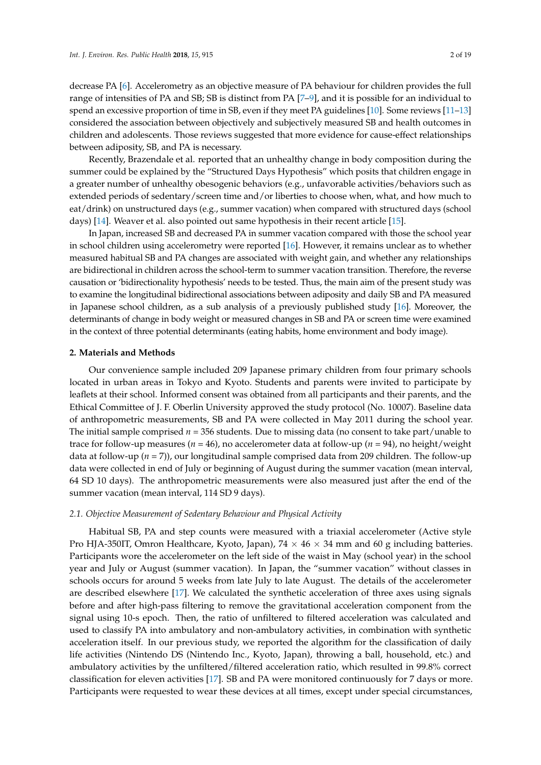decrease PA [\[6\]](#page-16-4). Accelerometry as an objective measure of PA behaviour for children provides the full range of intensities of PA and SB; SB is distinct from PA [\[7](#page-16-5)[–9\]](#page-16-6), and it is possible for an individual to spend an excessive proportion of time in SB, even if they meet PA guidelines [\[10\]](#page-16-7). Some reviews [\[11–](#page-16-8)[13\]](#page-16-9) considered the association between objectively and subjectively measured SB and health outcomes in children and adolescents. Those reviews suggested that more evidence for cause-effect relationships between adiposity, SB, and PA is necessary.

Recently, Brazendale et al. reported that an unhealthy change in body composition during the summer could be explained by the "Structured Days Hypothesis" which posits that children engage in a greater number of unhealthy obesogenic behaviors (e.g., unfavorable activities/behaviors such as extended periods of sedentary/screen time and/or liberties to choose when, what, and how much to eat/drink) on unstructured days (e.g., summer vacation) when compared with structured days (school days) [\[14\]](#page-16-10). Weaver et al. also pointed out same hypothesis in their recent article [\[15\]](#page-16-11).

In Japan, increased SB and decreased PA in summer vacation compared with those the school year in school children using accelerometry were reported [\[16\]](#page-16-12). However, it remains unclear as to whether measured habitual SB and PA changes are associated with weight gain, and whether any relationships are bidirectional in children across the school-term to summer vacation transition. Therefore, the reverse causation or 'bidirectionality hypothesis' needs to be tested. Thus, the main aim of the present study was to examine the longitudinal bidirectional associations between adiposity and daily SB and PA measured in Japanese school children, as a sub analysis of a previously published study [\[16\]](#page-16-12). Moreover, the determinants of change in body weight or measured changes in SB and PA or screen time were examined in the context of three potential determinants (eating habits, home environment and body image).

#### **2. Materials and Methods**

Our convenience sample included 209 Japanese primary children from four primary schools located in urban areas in Tokyo and Kyoto. Students and parents were invited to participate by leaflets at their school. Informed consent was obtained from all participants and their parents, and the Ethical Committee of J. F. Oberlin University approved the study protocol (No. 10007). Baseline data of anthropometric measurements, SB and PA were collected in May 2011 during the school year. The initial sample comprised *n* = 356 students. Due to missing data (no consent to take part/unable to trace for follow-up measures (*n* = 46), no accelerometer data at follow-up (*n* = 94), no height/weight data at follow-up (*n* = 7)), our longitudinal sample comprised data from 209 children. The follow-up data were collected in end of July or beginning of August during the summer vacation (mean interval, 64 SD 10 days). The anthropometric measurements were also measured just after the end of the summer vacation (mean interval, 114 SD 9 days).

#### *2.1. Objective Measurement of Sedentary Behaviour and Physical Activity*

Habitual SB, PA and step counts were measured with a triaxial accelerometer (Active style Pro HJA-350IT, Omron Healthcare, Kyoto, Japan),  $74 \times 46 \times 34$  mm and 60 g including batteries. Participants wore the accelerometer on the left side of the waist in May (school year) in the school year and July or August (summer vacation). In Japan, the "summer vacation" without classes in schools occurs for around 5 weeks from late July to late August. The details of the accelerometer are described elsewhere [\[17\]](#page-16-13). We calculated the synthetic acceleration of three axes using signals before and after high-pass filtering to remove the gravitational acceleration component from the signal using 10-s epoch. Then, the ratio of unfiltered to filtered acceleration was calculated and used to classify PA into ambulatory and non-ambulatory activities, in combination with synthetic acceleration itself. In our previous study, we reported the algorithm for the classification of daily life activities (Nintendo DS (Nintendo Inc., Kyoto, Japan), throwing a ball, household, etc.) and ambulatory activities by the unfiltered/filtered acceleration ratio, which resulted in 99.8% correct classification for eleven activities [\[17\]](#page-16-13). SB and PA were monitored continuously for 7 days or more. Participants were requested to wear these devices at all times, except under special circumstances,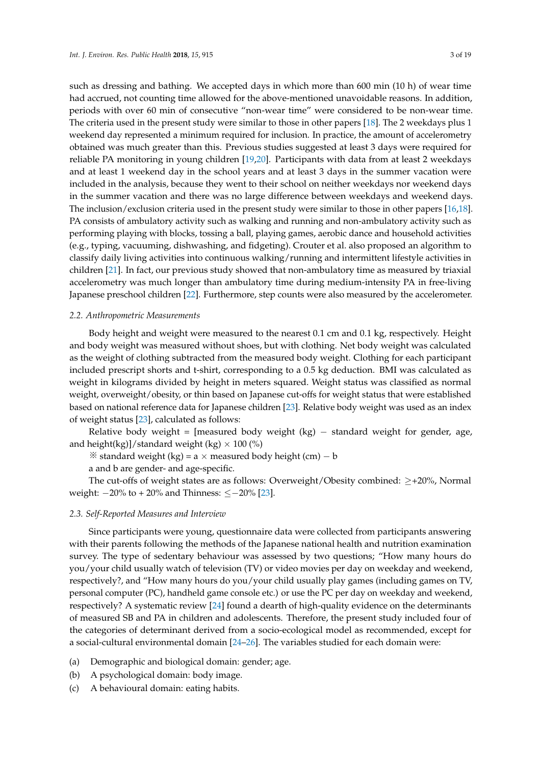such as dressing and bathing. We accepted days in which more than 600 min (10 h) of wear time had accrued, not counting time allowed for the above-mentioned unavoidable reasons. In addition, periods with over 60 min of consecutive "non-wear time" were considered to be non-wear time.<br>The 2 weeks plus 1 weeks The criteria used in the present study were similar to those in other papers [\[18\]](#page-16-14). The 2 weekdays plus 1 weekend day represented a minimum required for inclusion. In practice, the amount of accelerometry were required for inclusion. In practice, the amount of accelerometry obtained was much greater than this. Previous studies suggested at least 3 days were required for<br>young children in the least participants with days and at least 1 weeks reliable PA monitoring in young children [\[19](#page-16-15)[,20\]](#page-16-16). Participants with data from at least 2 weekdays and at least 1 weekend day in the school years and at least 3 days in the summer vacation were included in the analysis, because they went to their school on neither weekdays nor weekend days.<br>. in the summer vacation and there was no large difference between weekdays and weekend days.<br>Ta consistent to the papers of a more papers of a more papers of a more papers of a more papers of a more pape The inclusion/exclusion criteria used in the present study were similar to those in other papers [\[16](#page-16-12)[,18\]](#page-16-14).<br>References PA consists of ambulatory activity such as walking and running and non-ambulatory activity such as performing playing with blocks, tossing a ball, playing games, aerobic dance and household activities (e.g., typing, vacuuming, dishwashing, and fidgeting). Crouter et al. also proposed an algorithm to classify daily living activities into continuous walking/running and intermittent lifestyle activities in children [\[21\]](#page-16-17). In fact, our previous study showed that non-ambulatory time as measured by triaxial accelerometry was much longer than ambulatory time during medium-intensity PA in free-living<br>-Japanese preschool children [\[22\]](#page-17-0). Furthermore, step counts were also measured by the accelerometer.

## *2.2. Anthropometric Measurements 2.2. Anthropometric Measurements*

Body height and weight were measured to the nearest 0.1 cm and 0.1 kg, respectively. Height Body height and weight were measured to the nearest 0.1 cm and 0.1 kg, respectively. Height and body weight was measured without shoes, but with clothing. Net body weight was calculated and body weight was measured without shoes, but with clothing. Net body weight was calculated as the weight of clothing subtracted from the measured body weight. Clothing for each participant as the weight of clothing subtracted from the measured body weight. Clothing for each participant included prescript shorts and t-shirt, corresponding to a 0.5 kg deduction. BMI was calculated as included prescript shorts and t-shirt, corresponding to a 0.5 kg deduction. BMI was calculated as weight in kilograms divided by height in meters squared. Weight status was classified as normal weight in kilograms divided by height in meters squared. Weight status was classified as normal weight, overweight/obesity, or thin based on Japanese cut-offs for weight status that were established weight, overweight/obesity, or thin based on Japanese cut-offs for weight status that were established based on national reference data for Japanese children [\[23\]](#page-17-1). Relative body weight was used as an index based on national reference data for Japanese children [23]. Relative body weight was used as an of weight status [\[23\]](#page-17-1), calculated as follows: index of weight status [23], calculated as follows:

Relative body weight = [measured body weight (kg) – standard weight for gender, age, and height(kg)]/standard weight (kg)  $\times$  100 (%)

※ standard weight (kg) = a × measured body height (cm) − b standard weight (kg) = a × measured body height (cm) − b

a and b are gender- and age-specific. a and b are gender- and age-specific.

The cut-offs of weight states are as follows: Overweight/Obesity combined:  $\geq +20\%$ , Normal  $\frac{1}{100}$ weight: −20% to + 20% and Thinness: ≤−20% [23]. weight: −20% to + 20% and Thinness: ≤−20% [\[23\]](#page-17-1).

# *2.3. Self-Reported Measures and Interview 2.3. Self-Reported Measures and Interview*

with their parents following the methods of the Japanese national health and nutrition examination survey. The type of sedentary behaviour was assessed by two questions; "How many hours do you/your child usually watch of television (TV) or video movies per day on weekday and weekend, respectively?, and "How many hours do you/your child usually play games (including games on TV, personal computer (PC), handheld game console etc.) or use the PC per day on weekday and weekend, respectively? A systematic review [\[24\]](#page-17-2) found a dearth of high-quality evidence on the determinants of measured SB and PA in children and adolescents. Therefore, the present study included four of the categories of determinant derived from a socio-ecological model as recommended, except for  $\epsilon$  categories of the categories of determinant determinant  $\epsilon$  of  $\alpha$  and  $\epsilon$  as  $\epsilon$  as  $\epsilon$  as  $\epsilon$  as  $\epsilon$  as  $\epsilon$  as  $\epsilon$  as  $\epsilon$  as  $\epsilon$  as  $\epsilon$  as  $\epsilon$  as  $\epsilon$  as  $\epsilon$  as  $\epsilon$  as  $\epsilon$  as  $\epsilon$  as  $\epsilon$  as  $\epsilon$  as a social-cultural environmental domain [\[24–](#page-17-2)[26\]](#page-17-3). The variables studied for each domain were: Since participants were young, questionnaire data were collected from participants answering

- (a) Demographic and biological domain: gender; age.
- (b) A psychological domain: body image.
- (c) A behavioural domain: eating habits.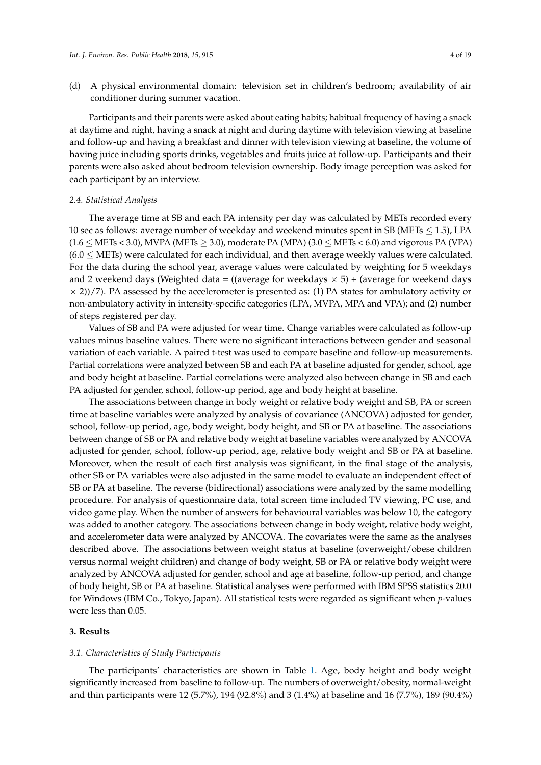(d) A physical environmental domain: television set in children's bedroom; availability of air conditioner during summer vacation.

Participants and their parents were asked about eating habits; habitual frequency of having a snack at daytime and night, having a snack at night and during daytime with television viewing at baseline and follow-up and having a breakfast and dinner with television viewing at baseline, the volume of having juice including sports drinks, vegetables and fruits juice at follow-up. Participants and their parents were also asked about bedroom television ownership. Body image perception was asked for each participant by an interview.

#### *2.4. Statistical Analysis*

The average time at SB and each PA intensity per day was calculated by METs recorded every 10 sec as follows: average number of weekday and weekend minutes spent in SB (METs  $\leq$  1.5), LPA  $(1.6 \leq \text{METs} < 3.0)$ , MVPA (METs  $\geq 3.0$ ), moderate PA (MPA) (3.0  $\leq$  METs  $\lt 6.0$ ) and vigorous PA (VPA)  $(6.0 < \text{METs})$  were calculated for each individual, and then average weekly values were calculated. For the data during the school year, average values were calculated by weighting for 5 weekdays and 2 weekend days (Weighted data = ((average for weekdays  $\times$  5) + (average for weekend days  $\times$  2))/7). PA assessed by the accelerometer is presented as: (1) PA states for ambulatory activity or non-ambulatory activity in intensity-specific categories (LPA, MVPA, MPA and VPA); and (2) number of steps registered per day.

Values of SB and PA were adjusted for wear time. Change variables were calculated as follow-up values minus baseline values. There were no significant interactions between gender and seasonal variation of each variable. A paired t-test was used to compare baseline and follow-up measurements. Partial correlations were analyzed between SB and each PA at baseline adjusted for gender, school, age and body height at baseline. Partial correlations were analyzed also between change in SB and each PA adjusted for gender, school, follow-up period, age and body height at baseline.

The associations between change in body weight or relative body weight and SB, PA or screen time at baseline variables were analyzed by analysis of covariance (ANCOVA) adjusted for gender, school, follow-up period, age, body weight, body height, and SB or PA at baseline. The associations between change of SB or PA and relative body weight at baseline variables were analyzed by ANCOVA adjusted for gender, school, follow-up period, age, relative body weight and SB or PA at baseline. Moreover, when the result of each first analysis was significant, in the final stage of the analysis, other SB or PA variables were also adjusted in the same model to evaluate an independent effect of SB or PA at baseline. The reverse (bidirectional) associations were analyzed by the same modelling procedure. For analysis of questionnaire data, total screen time included TV viewing, PC use, and video game play. When the number of answers for behavioural variables was below 10, the category was added to another category. The associations between change in body weight, relative body weight, and accelerometer data were analyzed by ANCOVA. The covariates were the same as the analyses described above. The associations between weight status at baseline (overweight/obese children versus normal weight children) and change of body weight, SB or PA or relative body weight were analyzed by ANCOVA adjusted for gender, school and age at baseline, follow-up period, and change of body height, SB or PA at baseline. Statistical analyses were performed with IBM SPSS statistics 20.0 for Windows (IBM Co., Tokyo, Japan). All statistical tests were regarded as significant when *p*-values were less than 0.05.

#### **3. Results**

#### *3.1. Characteristics of Study Participants*

The participants' characteristics are shown in Table [1.](#page-4-0) Age, body height and body weight significantly increased from baseline to follow-up. The numbers of overweight/obesity, normal-weight and thin participants were 12 (5.7%), 194 (92.8%) and 3 (1.4%) at baseline and 16 (7.7%), 189 (90.4%)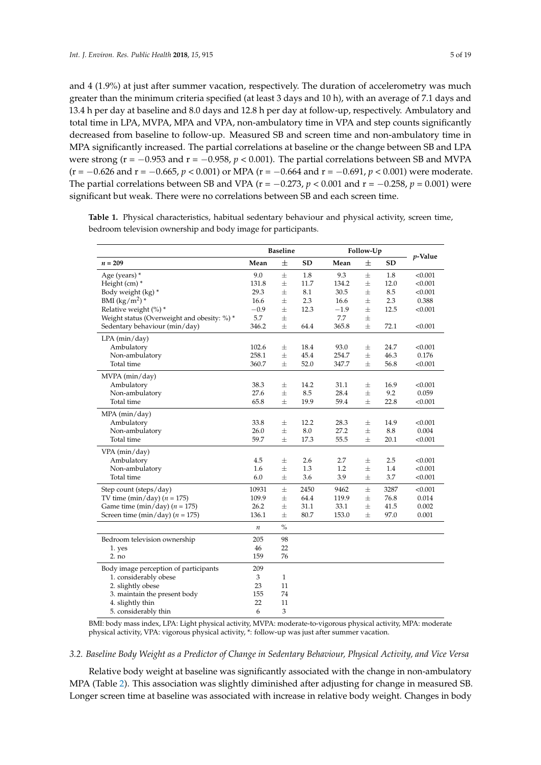and 4 (1.9%) at just after summer vacation, respectively. The duration of accelerometry was much greater than the minimum criteria specified (at least 3 days and 10 h), with an average of 7.1 days and 13.4 h per day at baseline and 8.0 days and 12.8 h per day at follow-up, respectively. Ambulatory and total time in LPA, MVPA, MPA and VPA, non-ambulatory time in VPA and step counts significantly decreased from baseline to follow-up. Measured SB and screen time and non-ambulatory time in MPA significantly increased. The partial correlations at baseline or the change between SB and LPA were strong (r = −0.953 and r = −0.958, *p* < 0.001). The partial correlations between SB and MVPA (r = −0.626 and r = −0.665, *p* < 0.001) or MPA (r = −0.664 and r = −0.691, *p* < 0.001) were moderate. The partial correlations between SB and VPA (r = −0.273, *p* < 0.001 and r = −0.258, *p* = 0.001) were significant but weak. There were no correlations between SB and each screen time.

|                                             |         | <b>Baseline</b> |           |        | Follow-Up |           | $p$ -Value |
|---------------------------------------------|---------|-----------------|-----------|--------|-----------|-----------|------------|
| $n = 209$                                   | Mean    | 士               | <b>SD</b> | Mean   | 士         | <b>SD</b> |            |
| Age (years) *                               | 9.0     | $\pm$           | 1.8       | 9.3    | 士         | 1.8       | < 0.001    |
| Height (cm) *                               | 131.8   | $\pm$           | 11.7      | 134.2  | $\pm$     | 12.0      | < 0.001    |
| Body weight (kg) *                          | 29.3    | 士               | 8.1       | 30.5   | 士         | 8.5       | < 0.001    |
| BMI $(kg/m^2)$ *                            | 16.6    | 士               | 2.3       | 16.6   | 士         | 2.3       | 0.388      |
| Relative weight (%) *                       | $-0.9$  | 士               | 12.3      | $-1.9$ | 士         | 12.5      | < 0.001    |
| Weight status (Overweight and obesity: %) * | 5.7     | 士               |           | 7.7    | $\pm$     |           |            |
| Sedentary behaviour (min/day)               | 346.2   | 士               | 64.4      | 365.8  | 士         | 72.1      | < 0.001    |
| $LPA$ (min/day)                             |         |                 |           |        |           |           |            |
| Ambulatory                                  | 102.6   | $\pm$           | 18.4      | 93.0   | 士         | 24.7      | < 0.001    |
| Non-ambulatory                              | 258.1   | 士               | 45.4      | 254.7  | 士         | 46.3      | 0.176      |
| Total time                                  | 360.7   | $\pm$           | 52.0      | 347.7  | 士         | 56.8      | < 0.001    |
| MVPA (min/day)                              |         |                 |           |        |           |           |            |
| Ambulatory                                  | 38.3    | 士               | 14.2      | 31.1   | 士         | 16.9      | < 0.001    |
| Non-ambulatory                              | 27.6    | $\pm$           | 8.5       | 28.4   | $\pm$     | 9.2       | 0.059      |
| Total time                                  | 65.8    | $\pm$           | 19.9      | 59.4   | $\pm$     | 22.8      | < 0.001    |
| MPA (min/day)                               |         |                 |           |        |           |           |            |
| Ambulatory                                  | 33.8    | 士               | 12.2      | 28.3   | 士         | 14.9      | < 0.001    |
| Non-ambulatory                              | 26.0    | $\pm$           | 8.0       | 27.2   | $\pm$     | 8.8       | 0.004      |
| Total time                                  | 59.7    | 士               | 17.3      | 55.5   | 士         | 20.1      | < 0.001    |
| VPA (min/day)                               |         |                 |           |        |           |           |            |
| Ambulatory                                  | 4.5     | 士               | 2.6       | 2.7    | 士         | 2.5       | < 0.001    |
| Non-ambulatory                              | 1.6     | 士               | 1.3       | 1.2    | $\pm$     | 1.4       | < 0.001    |
| Total time                                  | 6.0     | 士               | 3.6       | 3.9    | $\pm$     | 3.7       | < 0.001    |
| Step count (steps/day)                      | 10931   | $\pm$           | 2450      | 9462   | 士         | 3287      | < 0.001    |
| TV time (min/day) ( $n = 175$ )             | 109.9   | $\pm$           | 64.4      | 119.9  | $\pm$     | 76.8      | 0.014      |
| Game time (min/day) ( $n = 175$ )           | 26.2    | $\pm$           | 31.1      | 33.1   | $\pm$     | 41.5      | 0.002      |
| Screen time (min/day) ( $n = 175$ )         | 136.1   | 士               | 80.7      | 153.0  | $\pm$     | 97.0      | 0.001      |
|                                             | $\it n$ | $\%$            |           |        |           |           |            |
| Bedroom television ownership                | 205     | 98              |           |        |           |           |            |
| 1. yes                                      | 46      | 22              |           |        |           |           |            |
| 2. no                                       | 159     | 76              |           |        |           |           |            |
| Body image perception of participants       | 209     |                 |           |        |           |           |            |
| 1. considerably obese                       | 3       | $\mathbf{1}$    |           |        |           |           |            |
| 2. slightly obese                           | 23      | 11              |           |        |           |           |            |
| 3. maintain the present body                | 155     | 74              |           |        |           |           |            |
| 4. slightly thin                            | 22      | 11              |           |        |           |           |            |
| 5. considerably thin                        | 6       | 3               |           |        |           |           |            |

<span id="page-4-0"></span>**Table 1.** Physical characteristics, habitual sedentary behaviour and physical activity, screen time, bedroom television ownership and body image for participants.

BMI: body mass index, LPA: Light physical activity, MVPA: moderate-to-vigorous physical activity, MPA: moderate physical activity, VPA: vigorous physical activity, \*: follow-up was just after summer vacation.

#### *3.2. Baseline Body Weight as a Predictor of Change in Sedentary Behaviour, Physical Activity, and Vice Versa*

Relative body weight at baseline was significantly associated with the change in non-ambulatory MPA (Table [2\)](#page-6-0). This association was slightly diminished after adjusting for change in measured SB. Longer screen time at baseline was associated with increase in relative body weight. Changes in body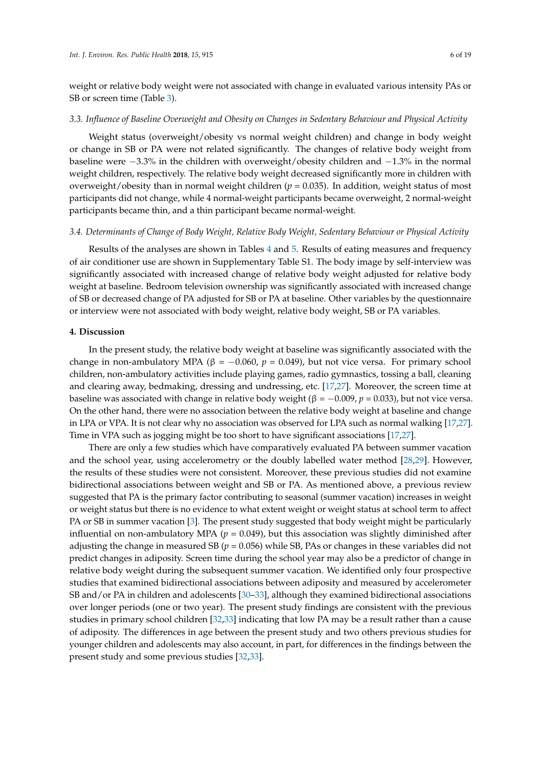weight or relative body weight were not associated with change in evaluated various intensity PAs or SB or screen time (Table [3\)](#page-8-0).

#### *3.3. Influence of Baseline Overweight and Obesity on Changes in Sedentary Behaviour and Physical Activity*

Weight status (overweight/obesity vs normal weight children) and change in body weight or change in SB or PA were not related significantly. The changes of relative body weight from baseline were −3.3% in the children with overweight/obesity children and −1.3% in the normal weight children, respectively. The relative body weight decreased significantly more in children with overweight/obesity than in normal weight children (*p* = 0.035). In addition, weight status of most participants did not change, while 4 normal-weight participants became overweight, 2 normal-weight participants became thin, and a thin participant became normal-weight.

#### *3.4. Determinants of Change of Body Weight, Relative Body Weight, Sedentary Behaviour or Physical Activity*

Results of the analyses are shown in Tables [4](#page-11-0) and [5.](#page-13-0) Results of eating measures and frequency of air conditioner use are shown in Supplementary Table S1. The body image by self-interview was significantly associated with increased change of relative body weight adjusted for relative body weight at baseline. Bedroom television ownership was significantly associated with increased change of SB or decreased change of PA adjusted for SB or PA at baseline. Other variables by the questionnaire or interview were not associated with body weight, relative body weight, SB or PA variables.

#### **4. Discussion**

In the present study, the relative body weight at baseline was significantly associated with the change in non-ambulatory MPA ( $\beta$  = -0.060,  $p$  = 0.049), but not vice versa. For primary school children, non-ambulatory activities include playing games, radio gymnastics, tossing a ball, cleaning and clearing away, bedmaking, dressing and undressing, etc. [\[17,](#page-16-13)[27\]](#page-17-4). Moreover, the screen time at baseline was associated with change in relative body weight (β =  $-0.009$ , *p* = 0.033), but not vice versa. On the other hand, there were no association between the relative body weight at baseline and change in LPA or VPA. It is not clear why no association was observed for LPA such as normal walking [\[17](#page-16-13)[,27\]](#page-17-4). Time in VPA such as jogging might be too short to have significant associations [\[17,](#page-16-13)[27\]](#page-17-4).

There are only a few studies which have comparatively evaluated PA between summer vacation and the school year, using accelerometry or the doubly labelled water method [\[28,](#page-17-5)[29\]](#page-17-6). However, the results of these studies were not consistent. Moreover, these previous studies did not examine bidirectional associations between weight and SB or PA. As mentioned above, a previous review suggested that PA is the primary factor contributing to seasonal (summer vacation) increases in weight or weight status but there is no evidence to what extent weight or weight status at school term to affect PA or SB in summer vacation [\[3\]](#page-16-1). The present study suggested that body weight might be particularly influential on non-ambulatory MPA ( $p = 0.049$ ), but this association was slightly diminished after adjusting the change in measured SB ( $p = 0.056$ ) while SB, PAs or changes in these variables did not predict changes in adiposity. Screen time during the school year may also be a predictor of change in relative body weight during the subsequent summer vacation. We identified only four prospective studies that examined bidirectional associations between adiposity and measured by accelerometer SB and/or PA in children and adolescents [\[30–](#page-17-7)[33\]](#page-17-8), although they examined bidirectional associations over longer periods (one or two year). The present study findings are consistent with the previous studies in primary school children [\[32](#page-17-9)[,33\]](#page-17-8) indicating that low PA may be a result rather than a cause of adiposity. The differences in age between the present study and two others previous studies for younger children and adolescents may also account, in part, for differences in the findings between the present study and some previous studies [\[32](#page-17-9)[,33\]](#page-17-8).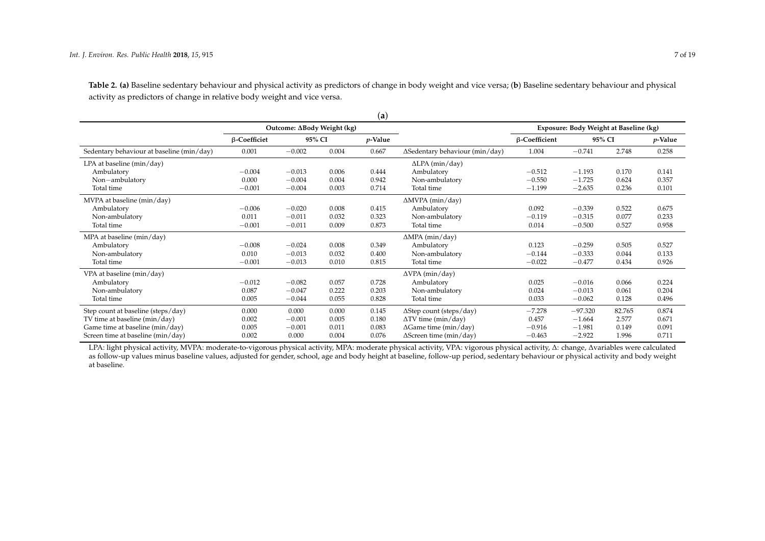**Table 2. (a)** Baseline sedentary behaviour and physical activity as predictors of change in body weight and vice versa; (**b**) Baseline sedentary behaviour and physical activity as predictors of change in relative body weight and vice versa.

|                                           |                     |                            |       | (a)        |                                |                      |                                        |        |            |
|-------------------------------------------|---------------------|----------------------------|-------|------------|--------------------------------|----------------------|----------------------------------------|--------|------------|
|                                           |                     | Outcome: ΔBody Weight (kg) |       |            |                                |                      | Exposure: Body Weight at Baseline (kg) |        |            |
|                                           | $\beta$ -Coefficiet | 95% CI                     |       | $p$ -Value |                                | $\beta$ -Coefficient | 95% CI                                 |        | $p$ -Value |
| Sedentary behaviour at baseline (min/day) | 0.001               | $-0.002$                   | 0.004 | 0.667      | ∆Sedentary behaviour (min/day) | 1.004                | $-0.741$                               | 2.748  | 0.258      |
| LPA at baseline (min/day)                 |                     |                            |       |            | $\Delta$ LPA (min/day)         |                      |                                        |        |            |
| Ambulatory                                | $-0.004$            | $-0.013$                   | 0.006 | 0.444      | Ambulatory                     | $-0.512$             | $-1.193$                               | 0.170  | 0.141      |
| Non-ambulatory                            | 0.000               | $-0.004$                   | 0.004 | 0.942      | Non-ambulatory                 | $-0.550$             | $-1.725$                               | 0.624  | 0.357      |
| Total time                                | $-0.001$            | $-0.004$                   | 0.003 | 0.714      | Total time                     | $-1.199$             | $-2.635$                               | 0.236  | 0.101      |
| MVPA at baseline (min/day)                |                     |                            |       |            | $\Delta MVPA$ (min/day)        |                      |                                        |        |            |
| Ambulatory                                | $-0.006$            | $-0.020$                   | 0.008 | 0.415      | Ambulatory                     | 0.092                | $-0.339$                               | 0.522  | 0.675      |
| Non-ambulatory                            | 0.011               | $-0.011$                   | 0.032 | 0.323      | Non-ambulatory                 | $-0.119$             | $-0.315$                               | 0.077  | 0.233      |
| Total time                                | $-0.001$            | $-0.011$                   | 0.009 | 0.873      | Total time                     | 0.014                | $-0.500$                               | 0.527  | 0.958      |
| MPA at baseline (min/day)                 |                     |                            |       |            | $\triangle MPA$ (min/day)      |                      |                                        |        |            |
| Ambulatory                                | $-0.008$            | $-0.024$                   | 0.008 | 0.349      | Ambulatory                     | 0.123                | $-0.259$                               | 0.505  | 0.527      |
| Non-ambulatory                            | 0.010               | $-0.013$                   | 0.032 | 0.400      | Non-ambulatory                 | $-0.144$             | $-0.333$                               | 0.044  | 0.133      |
| Total time                                | $-0.001$            | $-0.013$                   | 0.010 | 0.815      | Total time                     | $-0.022$             | $-0.477$                               | 0.434  | 0.926      |
| VPA at baseline (min/day)                 |                     |                            |       |            | $\Delta VPA$ (min/day)         |                      |                                        |        |            |
| Ambulatory                                | $-0.012$            | $-0.082$                   | 0.057 | 0.728      | Ambulatory                     | 0.025                | $-0.016$                               | 0.066  | 0.224      |
| Non-ambulatory                            | 0.087               | $-0.047$                   | 0.222 | 0.203      | Non-ambulatory                 | 0.024                | $-0.013$                               | 0.061  | 0.204      |
| Total time                                | 0.005               | $-0.044$                   | 0.055 | 0.828      | Total time                     | 0.033                | $-0.062$                               | 0.128  | 0.496      |
| Step count at baseline (steps/day)        | 0.000               | 0.000                      | 0.000 | 0.145      | ΔStep count (steps/day)        | $-7.278$             | $-97.320$                              | 82.765 | 0.874      |
| TV time at baseline (min/day)             | 0.002               | $-0.001$                   | 0.005 | 0.180      | $\Delta$ TV time (min/day)     | 0.457                | $-1.664$                               | 2.577  | 0.671      |
| Game time at baseline (min/day)           | 0.005               | $-0.001$                   | 0.011 | 0.083      | $\Delta$ Game time (min/day)   | $-0.916$             | $-1.981$                               | 0.149  | 0.091      |
| Screen time at baseline (min/day)         | 0.002               | 0.000                      | 0.004 | 0.076      | $\Delta$ Screen time (min/day) | $-0.463$             | $-2.922$                               | 1.996  | 0.711      |

<span id="page-6-0"></span>LPA: light physical activity, MVPA: moderate-to-vigorous physical activity, MPA: moderate physical activity, VPA: vigorous physical activity, Δ: change, ∆variables were calculated as follow-up values minus baseline values, adjusted for gender, school, age and body height at baseline, follow-up period, sedentary behaviour or physical activity and body weight at baseline.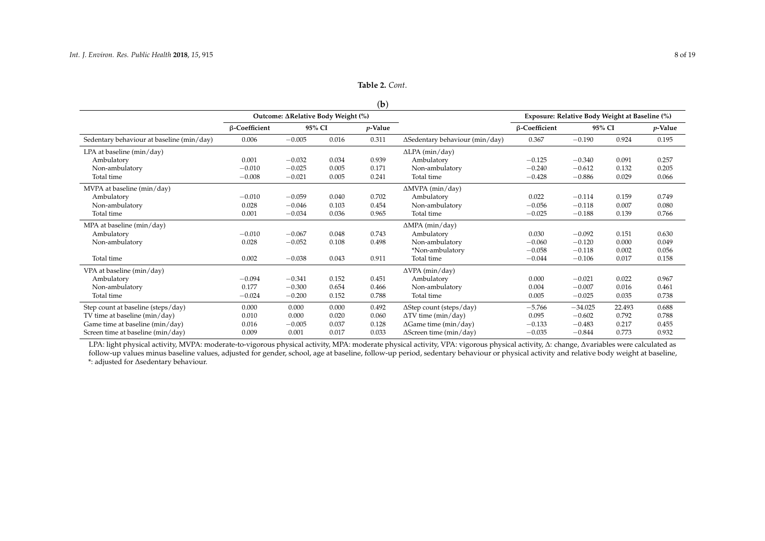| Table 2. Cont. |
|----------------|
|                |

### (**b**)

|                                           |               |                                    |        | $\sim$     |                                        |                                                |           |        |            |
|-------------------------------------------|---------------|------------------------------------|--------|------------|----------------------------------------|------------------------------------------------|-----------|--------|------------|
|                                           |               | Outcome: ΔRelative Body Weight (%) |        |            |                                        | Exposure: Relative Body Weight at Baseline (%) |           |        |            |
|                                           | β-Coefficient |                                    | 95% CI | $p$ -Value |                                        | β-Coefficient                                  | 95% CI    |        | $p$ -Value |
| Sedentary behaviour at baseline (min/day) | 0.006         | $-0.005$                           | 0.016  | 0.311      | $\Delta$ Sedentary behaviour (min/day) | 0.367                                          | $-0.190$  | 0.924  | 0.195      |
| LPA at baseline (min/day)                 |               |                                    |        |            | $\Delta$ LPA (min/day)                 |                                                |           |        |            |
| Ambulatory                                | 0.001         | $-0.032$                           | 0.034  | 0.939      | Ambulatory                             | $-0.125$                                       | $-0.340$  | 0.091  | 0.257      |
| Non-ambulatory                            | $-0.010$      | $-0.025$                           | 0.005  | 0.171      | Non-ambulatory                         | $-0.240$                                       | $-0.612$  | 0.132  | 0.205      |
| Total time                                | $-0.008$      | $-0.021$                           | 0.005  | 0.241      | Total time                             | $-0.428$                                       | $-0.886$  | 0.029  | 0.066      |
| MVPA at baseline (min/day)                |               |                                    |        |            | $\Delta MVPA$ (min/day)                |                                                |           |        |            |
| Ambulatory                                | $-0.010$      | $-0.059$                           | 0.040  | 0.702      | Ambulatory                             | 0.022                                          | $-0.114$  | 0.159  | 0.749      |
| Non-ambulatory                            | 0.028         | $-0.046$                           | 0.103  | 0.454      | Non-ambulatory                         | $-0.056$                                       | $-0.118$  | 0.007  | 0.080      |
| Total time                                | 0.001         | $-0.034$                           | 0.036  | 0.965      | Total time                             | $-0.025$                                       | $-0.188$  | 0.139  | 0.766      |
| MPA at baseline (min/day)                 |               |                                    |        |            | $\Delta MPA$ (min/day)                 |                                                |           |        |            |
| Ambulatory                                | $-0.010$      | $-0.067$                           | 0.048  | 0.743      | Ambulatory                             | 0.030                                          | $-0.092$  | 0.151  | 0.630      |
| Non-ambulatory                            | 0.028         | $-0.052$                           | 0.108  | 0.498      | Non-ambulatory                         | $-0.060$                                       | $-0.120$  | 0.000  | 0.049      |
|                                           |               |                                    |        |            | *Non-ambulatory                        | $-0.058$                                       | $-0.118$  | 0.002  | 0.056      |
| Total time                                | 0.002         | $-0.038$                           | 0.043  | 0.911      | Total time                             | $-0.044$                                       | $-0.106$  | 0.017  | 0.158      |
| VPA at baseline (min/day)                 |               |                                    |        |            | $\Delta VPA$ (min/day)                 |                                                |           |        |            |
| Ambulatory                                | $-0.094$      | $-0.341$                           | 0.152  | 0.451      | Ambulatory                             | 0.000                                          | $-0.021$  | 0.022  | 0.967      |
| Non-ambulatory                            | 0.177         | $-0.300$                           | 0.654  | 0.466      | Non-ambulatory                         | 0.004                                          | $-0.007$  | 0.016  | 0.461      |
| Total time                                | $-0.024$      | $-0.200$                           | 0.152  | 0.788      | Total time                             | 0.005                                          | $-0.025$  | 0.035  | 0.738      |
| Step count at baseline (steps/day)        | 0.000         | 0.000                              | 0.000  | 0.492      | ∆Step count (steps/day)                | $-5.766$                                       | $-34.025$ | 22.493 | 0.688      |
| TV time at baseline (min/day)             | 0.010         | 0.000                              | 0.020  | 0.060      | $\Delta$ TV time (min/day)             | 0.095                                          | $-0.602$  | 0.792  | 0.788      |
| Game time at baseline (min/day)           | 0.016         | $-0.005$                           | 0.037  | 0.128      | $\Delta$ Game time (min/day)           | $-0.133$                                       | $-0.483$  | 0.217  | 0.455      |
| Screen time at baseline (min/day)         | 0.009         | 0.001                              | 0.017  | 0.033      | $\Delta$ Screen time (min/day)         | $-0.035$                                       | $-0.844$  | 0.773  | 0.932      |

LPA: light physical activity, MVPA: moderate-to-vigorous physical activity, MPA: moderate physical activity, VPA: vigorous physical activity, Δ: change, ∆variables were calculated as follow-up values minus baseline values, adjusted for gender, school, age at baseline, follow-up period, sedentary behaviour or physical activity and relative body weight at baseline, \*: adjusted for ∆sedentary behaviour.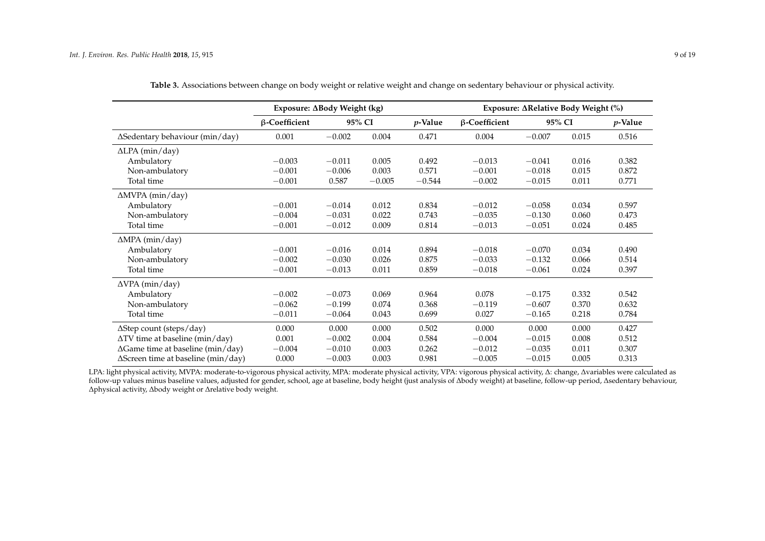|                                            | Exposure: ∆Body Weight (kg) |          |          |            |                      | Exposure: ΔRelative Body Weight (%) |       |            |
|--------------------------------------------|-----------------------------|----------|----------|------------|----------------------|-------------------------------------|-------|------------|
|                                            | β-Coefficient               |          | 95% CI   | $p$ -Value | $\beta$ -Coefficient | 95% CI                              |       | $p$ -Value |
| ∆Sedentary behaviour (min/day)             | 0.001                       | $-0.002$ | 0.004    | 0.471      | 0.004                | $-0.007$                            | 0.015 | 0.516      |
| $\Delta$ LPA (min/day)                     |                             |          |          |            |                      |                                     |       |            |
| Ambulatory                                 | $-0.003$                    | $-0.011$ | 0.005    | 0.492      | $-0.013$             | $-0.041$                            | 0.016 | 0.382      |
| Non-ambulatory                             | $-0.001$                    | $-0.006$ | 0.003    | 0.571      | $-0.001$             | $-0.018$                            | 0.015 | 0.872      |
| Total time                                 | $-0.001$                    | 0.587    | $-0.005$ | $-0.544$   | $-0.002$             | $-0.015$                            | 0.011 | 0.771      |
| $\triangle MVPA$ (min/day)                 |                             |          |          |            |                      |                                     |       |            |
| Ambulatory                                 | $-0.001$                    | $-0.014$ | 0.012    | 0.834      | $-0.012$             | $-0.058$                            | 0.034 | 0.597      |
| Non-ambulatory                             | $-0.004$                    | $-0.031$ | 0.022    | 0.743      | $-0.035$             | $-0.130$                            | 0.060 | 0.473      |
| Total time                                 | $-0.001$                    | $-0.012$ | 0.009    | 0.814      | $-0.013$             | $-0.051$                            | 0.024 | 0.485      |
| $\triangle MPA$ (min/day)                  |                             |          |          |            |                      |                                     |       |            |
| Ambulatory                                 | $-0.001$                    | $-0.016$ | 0.014    | 0.894      | $-0.018$             | $-0.070$                            | 0.034 | 0.490      |
| Non-ambulatory                             | $-0.002$                    | $-0.030$ | 0.026    | 0.875      | $-0.033$             | $-0.132$                            | 0.066 | 0.514      |
| Total time                                 | $-0.001$                    | $-0.013$ | 0.011    | 0.859      | $-0.018$             | $-0.061$                            | 0.024 | 0.397      |
| $\Delta VPA$ (min/day)                     |                             |          |          |            |                      |                                     |       |            |
| Ambulatory                                 | $-0.002$                    | $-0.073$ | 0.069    | 0.964      | 0.078                | $-0.175$                            | 0.332 | 0.542      |
| Non-ambulatory                             | $-0.062$                    | $-0.199$ | 0.074    | 0.368      | $-0.119$             | $-0.607$                            | 0.370 | 0.632      |
| Total time                                 | $-0.011$                    | $-0.064$ | 0.043    | 0.699      | 0.027                | $-0.165$                            | 0.218 | 0.784      |
| ∆Step count (steps/day)                    | 0.000                       | 0.000    | 0.000    | 0.502      | 0.000                | 0.000                               | 0.000 | 0.427      |
| $\Delta$ TV time at baseline (min/day)     | 0.001                       | $-0.002$ | 0.004    | 0.584      | $-0.004$             | $-0.015$                            | 0.008 | 0.512      |
| $\Delta$ Game time at baseline (min/day)   | $-0.004$                    | $-0.010$ | 0.003    | 0.262      | $-0.012$             | $-0.035$                            | 0.011 | 0.307      |
| $\Delta$ Screen time at baseline (min/day) | 0.000                       | $-0.003$ | 0.003    | 0.981      | $-0.005$             | $-0.015$                            | 0.005 | 0.313      |

| Table 3. Associations between change on body weight or relative weight and change on sedentary behaviour or physical activity. |  |  |  |
|--------------------------------------------------------------------------------------------------------------------------------|--|--|--|
|--------------------------------------------------------------------------------------------------------------------------------|--|--|--|

<span id="page-8-0"></span>LPA: light physical activity, MVPA: moderate-to-vigorous physical activity, MPA: moderate physical activity, VPA: vigorous physical activity, ∆: change, ∆variables were calculated as follow-up values minus baseline values, adjusted for gender, school, age at baseline, body height (just analysis of ∆body weight) at baseline, follow-up period, ∆sedentary behaviour, ∆physical activity, ∆body weight or ∆relative body weight.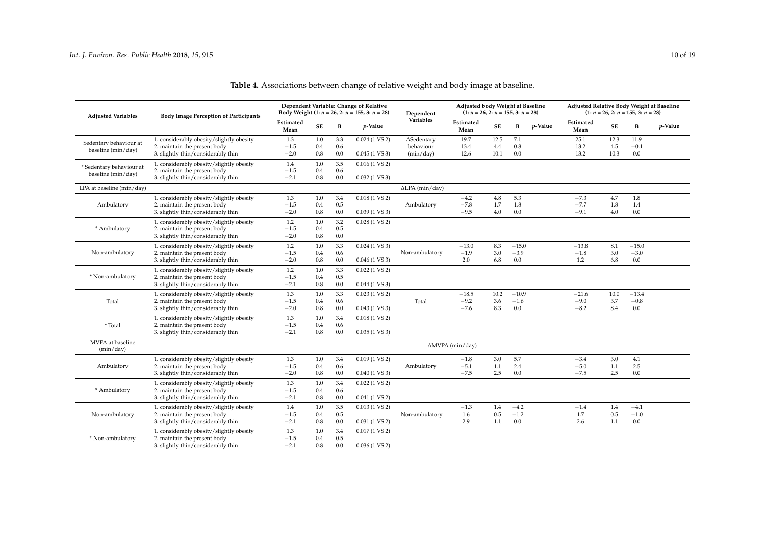### *Int. J. Environ. Res. Public Health* **2018**, *15*, 915 10 of 19

| <b>Adjusted Variables</b>                            | <b>Body Image Perception of Participants</b> |                   |         |     | Dependent Variable: Change of Relative<br>Body Weight (1: $n = 26$ , 2: $n = 155$ , 3: $n = 28$ ) | Dependent              | Adjusted body Weight at Baseline<br>$(1: n = 26, 2: n = 155, 3: n = 28)$ |         |         |            | Adjusted Relative Body Weight at Baseline<br>$(1: n = 26, 2: n = 155, 3: n = 28)$ |      |         |            |
|------------------------------------------------------|----------------------------------------------|-------------------|---------|-----|---------------------------------------------------------------------------------------------------|------------------------|--------------------------------------------------------------------------|---------|---------|------------|-----------------------------------------------------------------------------------|------|---------|------------|
|                                                      |                                              | Estimated<br>Mean | SE      | B   | <i>p</i> -Value                                                                                   | Variables              | Estimated<br>Mean                                                        | SE      | B       | $p$ -Value | Estimated<br>Mean                                                                 | SE   | В       | $p$ -Value |
| Sedentary behaviour at                               | 1. considerably obesity/slightly obesity     | 1.3               | 1.0     | 3.3 | $0.024(1 \text{ VS } 2)$                                                                          | ∆Sedentary             | 19.7                                                                     | 12.5    | 7.1     |            | 25.1                                                                              | 12.3 | 11.9    |            |
| baseline (min/day)                                   | 2. maintain the present body                 | $-1.5$            | 0.4     | 0.6 |                                                                                                   | behaviour              | 13.4                                                                     | 4.4     | 0.8     |            | 13.2                                                                              | 4.5  | $-0.1$  |            |
|                                                      | 3. slightly thin/considerably thin           | $-2.0$            | 0.8     | 0.0 | $0.045(1 \text{ VS } 3)$                                                                          | (min/day)              | 12.6                                                                     | 10.1    | 0.0     |            | 13.2                                                                              | 10.3 | 0.0     |            |
|                                                      | 1. considerably obesity/slightly obesity     | 1.4               | 1.0     | 3.5 | $0.016(1 \text{ VS } 2)$                                                                          |                        |                                                                          |         |         |            |                                                                                   |      |         |            |
| $^\ast$ Sedentary behaviour at<br>baseline (min/day) | 2. maintain the present body                 | $-1.5$            | 0.4     | 0.6 |                                                                                                   |                        |                                                                          |         |         |            |                                                                                   |      |         |            |
|                                                      | 3. slightly thin/considerably thin           | $-2.1$            | 0.8     | 0.0 | $0.032(1 \text{ VS } 3)$                                                                          |                        |                                                                          |         |         |            |                                                                                   |      |         |            |
| LPA at baseline (min/day)                            |                                              |                   |         |     |                                                                                                   | $\Delta$ LPA (min/day) |                                                                          |         |         |            |                                                                                   |      |         |            |
|                                                      | 1. considerably obesity/slightly obesity     | 1.3               | 1.0     | 3.4 | $0.018(1 \text{ VS } 2)$                                                                          |                        | $-4.2$                                                                   | $4.8\,$ | 5.3     |            | $-7.3$                                                                            | 4.7  | 1.8     |            |
| Ambulatory                                           | 2. maintain the present body                 | $-1.5$            | 0.4     | 0.5 |                                                                                                   | Ambulatory             | $-7.8$                                                                   | 1.7     | 1.8     |            | $-7.7$                                                                            | 1.8  | 1.4     |            |
|                                                      | 3. slightly thin/considerably thin           | $-2.0$            | $0.8\,$ | 0.0 | $0.039(1 \text{ VS } 3)$                                                                          |                        | $-9.5$                                                                   | 4.0     | 0.0     |            | $-9.1$                                                                            | 4.0  | 0.0     |            |
|                                                      | 1. considerably obesity/slightly obesity     | 1.2               | 1.0     | 3.2 | $0.028(1 \text{ VS } 2)$                                                                          |                        |                                                                          |         |         |            |                                                                                   |      |         |            |
| * Ambulatory                                         | 2. maintain the present body                 | $-1.5$            | 0.4     | 0.5 |                                                                                                   |                        |                                                                          |         |         |            |                                                                                   |      |         |            |
|                                                      | 3. slightly thin/considerably thin           | $-2.0$            | 0.8     | 0.0 |                                                                                                   |                        |                                                                          |         |         |            |                                                                                   |      |         |            |
|                                                      | 1. considerably obesity/slightly obesity     | 1.2               | 1.0     | 3.3 | $0.024(1 \text{ VS } 3)$                                                                          |                        | $-13.0$                                                                  | 8.3     | $-15.0$ |            | $-13.8$                                                                           | 8.1  | $-15.0$ |            |
| Non-ambulatory                                       | 2. maintain the present body                 | $-1.5$            | 0.4     | 0.6 |                                                                                                   | Non-ambulatory         | $-1.9$                                                                   | 3.0     | $-3.9$  |            | $-1.8$                                                                            | 3.0  | $-3.0$  |            |
|                                                      | 3. slightly thin/considerably thin           | $-2.0$            | 0.8     | 0.0 | $0.046(1 \text{ VS } 3)$                                                                          |                        | 2.0                                                                      | 6.8     | 0.0     |            | 1.2                                                                               | 6.8  | 0.0     |            |
|                                                      | 1. considerably obesity/slightly obesity     | 1.2               | 1.0     | 3.3 | $0.022(1 \text{ VS } 2)$                                                                          |                        |                                                                          |         |         |            |                                                                                   |      |         |            |
| * Non-ambulatory                                     | 2. maintain the present body                 | $-1.5$            | 0.4     | 0.5 |                                                                                                   |                        |                                                                          |         |         |            |                                                                                   |      |         |            |
|                                                      | 3. slightly thin/considerably thin           | $-2.1$            | 0.8     | 0.0 | $0.044$ (1 VS 3)                                                                                  |                        |                                                                          |         |         |            |                                                                                   |      |         |            |
|                                                      | 1. considerably obesity/slightly obesity     | 1.3               | 1.0     | 3.3 | $0.023(1 \text{ VS } 2)$                                                                          |                        | $-18.5$                                                                  | 10.2    | $-10.9$ |            | $-21.6$                                                                           | 10.0 | $-13.4$ |            |
| Total                                                | 2. maintain the present body                 | $-1.5$            | 0.4     | 0.6 |                                                                                                   | Total                  | $-9.2$                                                                   | 3.6     | $-1.6$  |            | $-9.0$                                                                            | 3.7  | $-0.8$  |            |
|                                                      | 3. slightly thin/considerably thin           | $-2.0$            | 0.8     | 0.0 | $0.043(1 \text{ VS } 3)$                                                                          |                        | $-7.6$                                                                   | 8.3     | 0.0     |            | $-8.2$                                                                            | 8.4  | 0.0     |            |
|                                                      | 1. considerably obesity/slightly obesity     | 1.3               | 1.0     | 3.4 | $0.018(1 \text{ VS } 2)$                                                                          |                        |                                                                          |         |         |            |                                                                                   |      |         |            |
| * Total                                              | 2. maintain the present body                 | $-1.5$            | 0.4     | 0.6 |                                                                                                   |                        |                                                                          |         |         |            |                                                                                   |      |         |            |
|                                                      | 3. slightly thin/considerably thin           | $-2.1$            | 0.8     | 0.0 | $0.035(1 \text{ VS } 3)$                                                                          |                        |                                                                          |         |         |            |                                                                                   |      |         |            |
| MVPA at baseline<br>(min/day)                        |                                              |                   |         |     |                                                                                                   |                        | $\triangle MVPA$ (min/day)                                               |         |         |            |                                                                                   |      |         |            |
|                                                      | 1. considerably obesity/slightly obesity     | 1.3               | 1.0     | 3.4 | $0.019(1 \text{ VS } 2)$                                                                          |                        | $-1.8$                                                                   | 3.0     | 5.7     |            | $-3.4$                                                                            | 3.0  | 4.1     |            |
| Ambulatory                                           | 2. maintain the present body                 | $-1.5$            | 0.4     | 0.6 |                                                                                                   | Ambulatory             | $-5.1$                                                                   | 1.1     | 2.4     |            | $-5.0$                                                                            | 1.1  | 2.5     |            |
|                                                      | 3. slightly thin/considerably thin           | $-2.0$            | 0.8     | 0.0 | $0.040(1 \text{ VS } 3)$                                                                          |                        | $-7.5$                                                                   | 2.5     | 0.0     |            | $-7.5$                                                                            | 2.5  | 0.0     |            |
|                                                      | 1. considerably obesity/slightly obesity     | 1.3               | 1.0     | 3.4 | $0.022(1 \text{ VS } 2)$                                                                          |                        |                                                                          |         |         |            |                                                                                   |      |         |            |
| * Ambulatory                                         | 2. maintain the present body                 | $-1.5$            | 0.4     | 0.6 |                                                                                                   |                        |                                                                          |         |         |            |                                                                                   |      |         |            |
|                                                      | 3. slightly thin/considerably thin           | $-2.1$            | 0.8     | 0.0 | $0.041$ (1 VS 2)                                                                                  |                        |                                                                          |         |         |            |                                                                                   |      |         |            |
|                                                      | 1. considerably obesity/slightly obesity     | 1.4               | 1.0     | 3.5 | $0.013(1 \text{ VS } 2)$                                                                          |                        | $-1.3$                                                                   | 1.4     | $-4.2$  |            | $-1.4$                                                                            | 1.4  | $-4.1$  |            |
| Non-ambulatory                                       | 2. maintain the present body                 | $-1.5$            | 0.4     | 0.5 |                                                                                                   | Non-ambulatory         | 1.6                                                                      | 0.5     | $-1.2$  |            | 1.7                                                                               | 0.5  | $-1.0$  |            |
|                                                      | 3. slightly thin/considerably thin           | $-2.1$            | 0.8     | 0.0 | $0.031(1 \text{ VS } 2)$                                                                          |                        | 2.9                                                                      | 1.1     | 0.0     |            | 2.6                                                                               | 1.1  | 0.0     |            |
|                                                      | 1. considerably obesity/slightly obesity     | 1.3               | 1.0     | 3.4 | $0.017(1 \text{ VS } 2)$                                                                          |                        |                                                                          |         |         |            |                                                                                   |      |         |            |
| * Non-ambulatory                                     | 2. maintain the present body                 | $-1.5$            | 0.4     | 0.5 |                                                                                                   |                        |                                                                          |         |         |            |                                                                                   |      |         |            |
|                                                      | 3. slightly thin/considerably thin           | $-2.1$            | 0.8     | 0.0 | $0.036(1 \text{ VS } 2)$                                                                          |                        |                                                                          |         |         |            |                                                                                   |      |         |            |

### **Table 4.** Associations between change of relative weight and body image at baseline.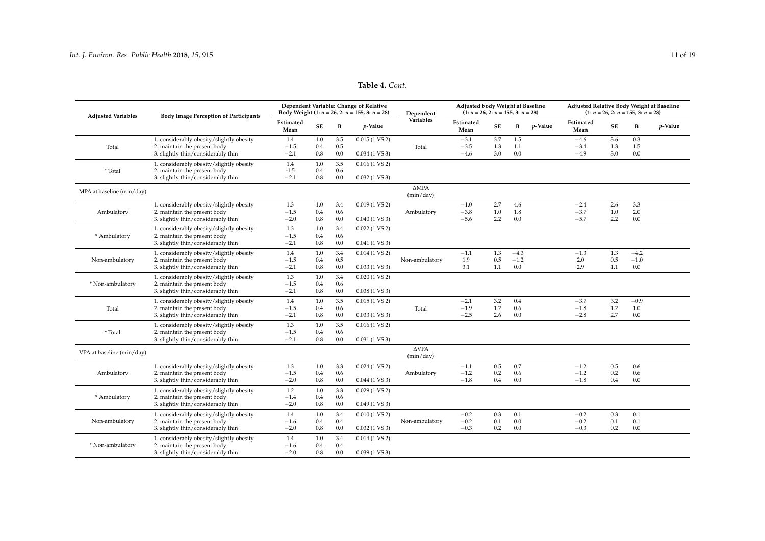#### **Table 4.** *Cont*.

| <b>Adjusted Variables</b> | <b>Body Image Perception of Participants</b> |                   |           |     | Dependent Variable: Change of Relative<br>Body Weight (1: $n = 26$ , 2: $n = 155$ , 3: $n = 28$ ) | Dependent                    | Adjusted body Weight at Baseline<br>$(1: n = 26, 2: n = 155, 3: n = 28)$ |           |        |            | Adjusted Relative Body Weight at Baseline<br>$(1: n = 26, 2: n = 155, 3: n = 28)$ |           |        |            |
|---------------------------|----------------------------------------------|-------------------|-----------|-----|---------------------------------------------------------------------------------------------------|------------------------------|--------------------------------------------------------------------------|-----------|--------|------------|-----------------------------------------------------------------------------------|-----------|--------|------------|
|                           |                                              | Estimated<br>Mean | <b>SE</b> | В   | $p$ -Value                                                                                        | Variables                    | Estimated<br>Mean                                                        | <b>SE</b> | B      | $p$ -Value | Estimated<br>Mean                                                                 | <b>SE</b> | B      | $p$ -Value |
|                           | 1. considerably obesity/slightly obesity     | 1.4               | 1.0       | 3.5 | $0.015(1 \text{ VS } 2)$                                                                          |                              | $-3.1$                                                                   | 3.7       | 1.5    |            | $-4.6$                                                                            | 3.6       | 0.3    |            |
| Total                     | 2. maintain the present body                 | $-1.5$            | 0.4       | 0.5 |                                                                                                   | Total                        | $-3.5$                                                                   | 1.3       | 1.1    |            | $-3.4$                                                                            | 1.3       | 1.5    |            |
|                           | 3. slightly thin/considerably thin           | $-2.1$            | 0.8       | 0.0 | $0.034(1 \text{ VS } 3)$                                                                          |                              | $-4.6$                                                                   | 3.0       | 0.0    |            | $-4.9$                                                                            | 3.0       | 0.0    |            |
|                           | 1. considerably obesity/slightly obesity     | 1.4               | 1.0       | 3.5 | $0.016(1 \text{ VS } 2)$                                                                          |                              |                                                                          |           |        |            |                                                                                   |           |        |            |
| * Total                   | 2. maintain the present body                 | $-1.5$            | 0.4       | 0.6 |                                                                                                   |                              |                                                                          |           |        |            |                                                                                   |           |        |            |
|                           | 3. slightly thin/considerably thin           | $-2.1$            | 0.8       | 0.0 | $0.032(1 \text{ VS } 3)$                                                                          |                              |                                                                          |           |        |            |                                                                                   |           |        |            |
| MPA at baseline (min/day) |                                              |                   |           |     |                                                                                                   | $\triangle MPA$<br>(min/day) |                                                                          |           |        |            |                                                                                   |           |        |            |
|                           | 1. considerably obesity/slightly obesity     | 1.3               | 1.0       | 3.4 | $0.019(1 \text{ VS } 2)$                                                                          |                              | $-1.0$                                                                   | 2.7       | 4.6    |            | $-2.4$                                                                            | 2.6       | 3.3    |            |
| Ambulatory                | 2. maintain the present body                 | $-1.5$            | 0.4       | 0.6 |                                                                                                   | Ambulatory                   | $-3.8$                                                                   | 1.0       | 1.8    |            | $-3.7$                                                                            | 1.0       | 2.0    |            |
|                           | 3. slightly thin/considerably thin           | $-2.0$            | 0.8       | 0.0 | $0.040(1 \text{ VS } 3)$                                                                          |                              | $-5.6$                                                                   | 2.2       | 0.0    |            | $-5.7$                                                                            | 2.2       | 0.0    |            |
|                           | 1. considerably obesity/slightly obesity     | 1.3               | 1.0       | 3.4 | $0.022(1 \text{ VS } 2)$                                                                          |                              |                                                                          |           |        |            |                                                                                   |           |        |            |
| * Ambulatory              | 2. maintain the present body                 | $-1.5$            | 0.4       | 0.6 |                                                                                                   |                              |                                                                          |           |        |            |                                                                                   |           |        |            |
|                           | 3. slightly thin/considerably thin           | $-2.1$            | 0.8       | 0.0 | $0.041(1 \text{ VS } 3)$                                                                          |                              |                                                                          |           |        |            |                                                                                   |           |        |            |
|                           | 1. considerably obesity/slightly obesity     | 1.4               | 1.0       | 3.4 | $0.014(1 \text{ VS } 2)$                                                                          |                              | $-1.1$                                                                   | 1.3       | $-4.3$ |            | $-1.3$                                                                            | 1.3       | $-4.2$ |            |
| Non-ambulatory            | 2. maintain the present body                 | $-1.5$            | 0.4       | 0.5 |                                                                                                   | Non-ambulatory               | 1.9                                                                      | 0.5       | $-1.2$ |            | 2.0                                                                               | 0.5       | $-1.0$ |            |
|                           | 3. slightly thin/considerably thin           | $-2.1$            | 0.8       | 0.0 | $0.033(1 \text{ VS } 3)$                                                                          |                              | 3.1                                                                      | 1.1       | 0.0    |            | 2.9                                                                               | 1.1       | 0.0    |            |
|                           | 1. considerably obesity/slightly obesity     | 1.3               | 1.0       | 3.4 | $0.020(1 \text{ VS } 2)$                                                                          |                              |                                                                          |           |        |            |                                                                                   |           |        |            |
| * Non-ambulatory          | 2. maintain the present body                 | $-1.5$            | 0.4       | 0.6 |                                                                                                   |                              |                                                                          |           |        |            |                                                                                   |           |        |            |
|                           | 3. slightly thin/considerably thin           | $-2.1$            | 0.8       | 0.0 | $0.038(1 \text{ VS } 3)$                                                                          |                              |                                                                          |           |        |            |                                                                                   |           |        |            |
|                           | 1. considerably obesity/slightly obesity     | 1.4               | 1.0       | 3.5 | $0.015(1 \text{ VS } 2)$                                                                          |                              | $-2.1$                                                                   | 3.2       | 0.4    |            | $-3.7$                                                                            | 3.2       | $-0.9$ |            |
| Total                     | 2. maintain the present body                 | $-1.5$            | 0.4       | 0.6 |                                                                                                   | Total                        | $-1.9$                                                                   | 1.2       | 0.6    |            | $-1.8$                                                                            | 1.2       | 1.0    |            |
|                           | 3. slightly thin/considerably thin           | $-2.1$            | 0.8       | 0.0 | $0.033(1 \text{ VS } 3)$                                                                          |                              | $-2.5$                                                                   | 2.6       | 0.0    |            | $-2.8$                                                                            | 2.7       | 0.0    |            |
|                           | 1. considerably obesity/slightly obesity     | 1.3               | 1.0       | 3.5 | $0.016(1 \text{ VS } 2)$                                                                          |                              |                                                                          |           |        |            |                                                                                   |           |        |            |
| * Total                   | 2. maintain the present body                 | $-1.5$            | 0.4       | 0.6 |                                                                                                   |                              |                                                                          |           |        |            |                                                                                   |           |        |            |
|                           | 3. slightly thin/considerably thin           | $-2.1$            | 0.8       | 0.0 | $0.031(1 \text{ VS } 3)$                                                                          |                              |                                                                          |           |        |            |                                                                                   |           |        |            |
| VPA at baseline (min/day) |                                              |                   |           |     |                                                                                                   | <b>AVPA</b><br>(min/day)     |                                                                          |           |        |            |                                                                                   |           |        |            |
|                           | 1. considerably obesity/slightly obesity     | 1.3               | 1.0       | 3.3 | $0.024(1 \text{ VS } 2)$                                                                          |                              | $-1.1$                                                                   | 0.5       | 0.7    |            | $-1.2$                                                                            | 0.5       | 0.6    |            |
| Ambulatory                | 2. maintain the present body                 | $-1.5$            | 0.4       | 0.6 |                                                                                                   | Ambulatory                   | $-1.2$                                                                   | 0.2       | 0.6    |            | $-1.2$                                                                            | 0.2       | 0.6    |            |
|                           | 3. slightly thin/considerably thin           | $-2.0$            | 0.8       | 0.0 | $0.044$ (1 VS 3)                                                                                  |                              | $-1.8$                                                                   | 0.4       | 0.0    |            | $-1.8\,$                                                                          | 0.4       | 0.0    |            |
|                           | 1. considerably obesity/slightly obesity     | 1.2               | 1.0       | 3.3 | $0.029(1 \text{ VS } 2)$                                                                          |                              |                                                                          |           |        |            |                                                                                   |           |        |            |
| * Ambulatory              | 2. maintain the present body                 | $-1.4$            | 0.4       | 0.6 |                                                                                                   |                              |                                                                          |           |        |            |                                                                                   |           |        |            |
|                           | 3. slightly thin/considerably thin           | $-2.0$            | 0.8       | 0.0 | $0.049(1 \text{ VS } 3)$                                                                          |                              |                                                                          |           |        |            |                                                                                   |           |        |            |
|                           | 1. considerably obesity/slightly obesity     | 1.4               | 1.0       | 3.4 | $0.010(1 \text{ VS } 2)$                                                                          |                              | $-0.2$                                                                   | 0.3       | 0.1    |            | $-0.2$                                                                            | 0.3       | 0.1    |            |
| Non-ambulatory            | 2. maintain the present body                 | $-1.6$            | 0.4       | 0.4 |                                                                                                   | Non-ambulatory               | $-0.2$                                                                   | 0.1       | 0.0    |            | $-0.2$                                                                            | 0.1       | 0.1    |            |
|                           | 3. slightly thin/considerably thin           | $-2.0$            | 0.8       | 0.0 | $0.032(1 \text{ VS } 3)$                                                                          |                              | $-0.3$                                                                   | 0.2       | 0.0    |            | $-0.3$                                                                            | 0.2       | 0.0    |            |
|                           | 1. considerably obesity/slightly obesity     | 1.4               | 1.0       | 3.4 | $0.014(1 \text{ VS } 2)$                                                                          |                              |                                                                          |           |        |            |                                                                                   |           |        |            |
| * Non-ambulatory          | 2. maintain the present body                 | $-1.6$            | 0.4       | 0.4 |                                                                                                   |                              |                                                                          |           |        |            |                                                                                   |           |        |            |
|                           | 3. slightly thin/considerably thin           | $-2.0$            | 0.8       | 0.0 | $0.039(1 \text{ VS } 3)$                                                                          |                              |                                                                          |           |        |            |                                                                                   |           |        |            |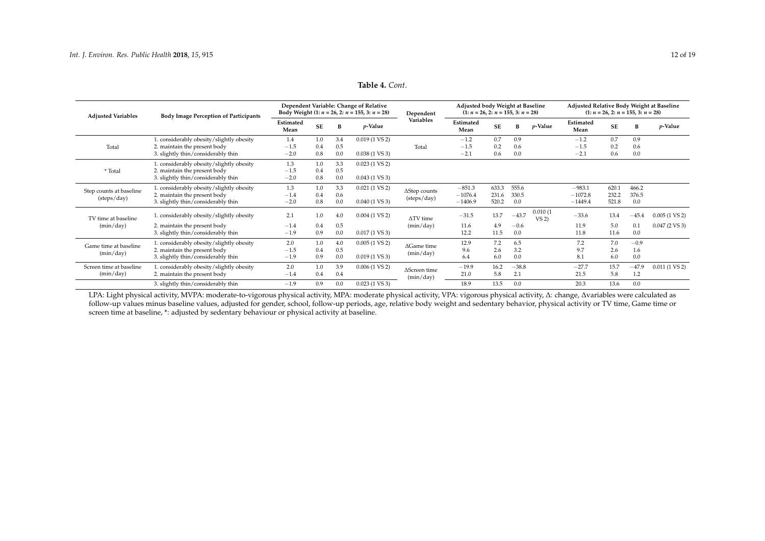#### **Adjusted Variables Body Image Perception of Participants Dependent Variable: Change of Relative Body Weight (1:**  $n = 26$ , 2:  $n = 155$ , 3:  $n = 28$ ) Dependent **Variables Adjusted body Weight at Baseline**  $(1: n = 26, 2: n = 155, 3: n = 28)$ **Adjusted Relative Body Weight at Baseline**  $(1: n = 26, 2: n = 155, 3: n = 28)$ **Estimated SE <sup>B</sup>** *<sup>p</sup>***-Value Estimated SE <sup>B</sup>** *<sup>p</sup>***-Value Estimated SE <sup>B</sup>** *<sup>p</sup>***-Value Mean Mean Mean** Total 1. considerably obesity/slightly obesity  $1.4$  1.0  $3.4$  0.019 (1 VS 2)<br>2. maintain the present body  $-1.5$  0.4 0.5 Total −1.2 0.7 0.9 −1.2 0.7 0.9 2. maintain the present body −1.5 0.4 0.5 Total −1.5 0.2 0.6 −1.5 0.2 0.6<br>3. slightly thin/considerably thin −2.0 0.8 0.0 0.038 (1 VS 3) −2.1 0.6 0.0 −2.1 0.6 0.0 3. slightly thin/considerably thin \* Total 1. considerably obesity/slightly obesity  $1.3$  1.0  $3.3$  0.023 (1 VS 2)<br>2. maintain the present body  $-1.5$  0.4 0.5 2. maintain the present body  $-1.5$  0.4 0.5<br>3. slightly thin  $-2.0$  0.8 0.0 3. slightly thin/considerably thin  $-2.0$  0.8 0.0 0.043 (1 VS 3) Step counts at baseline (steps/day) 1. considerably obesity/slightly obesity  $1.3$  1.0  $3.3$  0.021 (1 VS 2)  $\triangle$   $\triangle$  0.6  $\triangle$ (steps/day) −851.3 633.3 555.6 −983.1 620.1 466.2 2. maintain the present body  $-1.4$  0.4 0.6  $\overline{)}$   $-1.4$  0.6  $\overline{)}$   $-1076.4$  231.6 330.5 −1072.8 232.2 376.5<br>3. sliehtly thin/considerably thin  $-2.0$  0.8 0.0 0.040 (1 VS 3)  $\overline{)}$   $-1406.9$  520.2 0.0 −1449.4 521.8 3. slightly thin/considerably thin TV time at baseline (min/day) 1. considerably obesity/slightly obesity 2.1 1.0 4.0 0.004 (1 VS 2)  $\Delta$ TV time<br>2. maintain the present body  $-1.4$  0.4 0.5 (min/day) (min/day)  $-31.5$  13.7  $-43.7$   $\frac{0.010}{\text{VS}}$  (1  $-33.6$  13.4 −45.4 0.005 (1 VS 2)<br>11.9 5.0 0.1 0.047 (2 VS 3) 2. maintain the present body −1.4 0.4 0.5 (min/day) 11.6 4.9 −0.6 11.9 5.0 0.1<br>3. slightly thin/considerably thin −1.9 0.9 0.0 0.017 (1 VS 3) 12.2 11.5 0.0 11.8 11.6 0.0 3. slightly thin/considerably thin Game time at baseline (min/day) 1. considerably obesity/slightly obesity 2.0 1.0 4.0 0.005 (1 VS 2)  $\triangle$ Game time 2. maintain the present body  $-1.5$  0.4 0.5 (min/day) 12.9 7.2 6.5 7.2 7.0 −0.9 2. maintain the present body −1.5 0.4 0.5 3.3 9.6 2.6 3.2 9.7 2.6 1.6<br>3. slightly thin/considerably thin −1.9 0.9 0.0 0.019 (1 VS 3) (min/day) 6.4 6.0 0.0 8.1 6.0 0.0 3. slightly thin/considerably thin Screen time at baseline (min/day) 1. considerably obesity/slightly obesity 2.0 1.0 3.9 0.006 (1 VS 2) <sup>∆</sup>Screen time (min/day)  $-19.9$  16.2  $-38.8$   $-27.7$  15.7  $-47.9$  0.011 (1 VS 2)<br>21.0 5.8 2.1 21.5 5.8 1.2 2. maintain the present body 3. slightly thin/considerably thin −1.9 0.9 0.0 0.023 (1 VS 3) 18.9 13.5 0.0 20.3 13.6 0.0

#### **Table 4.** *Cont*.

<span id="page-11-0"></span>LPA: Light physical activity, MVPA: moderate-to-vigorous physical activity, MPA: moderate physical activity, VPA: vigorous physical activity, ∆: change, ∆variables were calculated as follow-up values minus baseline values, adjusted for gender, school, follow-up periods, age, relative body weight and sedentary behavior, physical activity or TV time, Game time or screen time at baseline, \*: adjusted by sedentary behaviour or physical activity at baseline.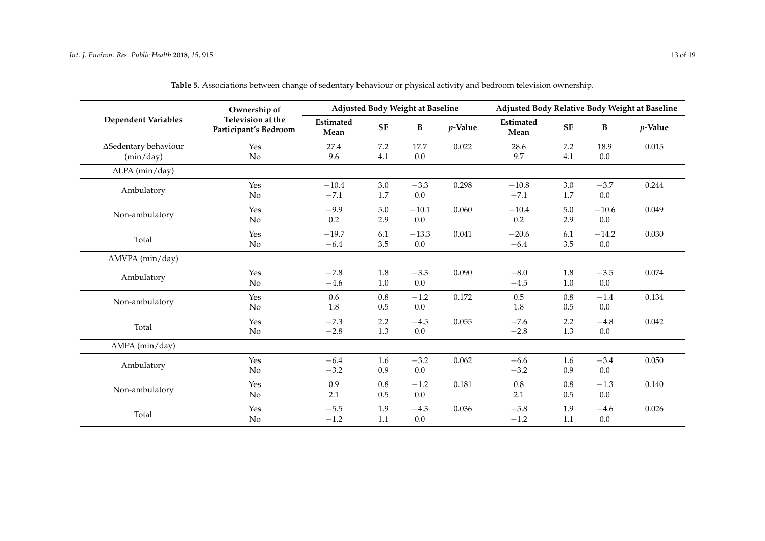|                            | Ownership of                               |                          |            | Adjusted Body Weight at Baseline |            | Adjusted Body Relative Body Weight at Baseline |           |              |         |  |  |
|----------------------------|--------------------------------------------|--------------------------|------------|----------------------------------|------------|------------------------------------------------|-----------|--------------|---------|--|--|
| <b>Dependent Variables</b> | Television at the<br>Participant's Bedroom | <b>Estimated</b><br>Mean | ${\bf SE}$ | $\bf{B}$                         | $p$ -Value | Estimated<br>Mean                              | <b>SE</b> | $\, {\bf B}$ | p-Value |  |  |
| ∆Sedentary behaviour       | Yes                                        | 27.4                     | 7.2        | 17.7                             | 0.022      | 28.6                                           | 7.2       | 18.9         | 0.015   |  |  |
| (min/day)                  | No                                         | 9.6                      | 4.1        | $0.0\,$                          |            | 9.7                                            | 4.1       | $0.0\,$      |         |  |  |
| $\Delta$ LPA (min/day)     |                                            |                          |            |                                  |            |                                                |           |              |         |  |  |
| Ambulatory                 | Yes                                        | $-10.4$                  | 3.0        | $-3.3$                           | 0.298      | $-10.8$                                        | 3.0       | $-3.7$       | 0.244   |  |  |
|                            | No                                         | $-7.1$                   | 1.7        | $0.0\,$                          |            | $-7.1$                                         | 1.7       | $0.0\,$      |         |  |  |
| Non-ambulatory             | Yes                                        | $-9.9$                   | 5.0        | $-10.1$                          | 0.060      | $-10.4$                                        | $5.0\,$   | $-10.6$      | 0.049   |  |  |
|                            | No                                         | 0.2                      | 2.9        | $0.0\,$                          |            | 0.2                                            | 2.9       | $0.0\,$      |         |  |  |
|                            | Yes                                        | $-19.7$                  | 6.1        | $-13.3$                          | 0.041      | $-20.6$                                        | 6.1       | $-14.2$      | 0.030   |  |  |
| Total                      | No                                         | $-6.4$                   | 3.5        | $0.0\,$                          |            | $-6.4$                                         | 3.5       | $0.0\,$      |         |  |  |
| $\Delta M VPA$ (min/day)   |                                            |                          |            |                                  |            |                                                |           |              |         |  |  |
| Ambulatory                 | Yes                                        | $-7.8$                   | 1.8        | $-3.3$                           | 0.090      | $-8.0$                                         | 1.8       | $-3.5$       | 0.074   |  |  |
|                            | No                                         | $-4.6$                   | $1.0\,$    | $0.0\,$                          |            | $-4.5$                                         | $1.0\,$   | $0.0\,$      |         |  |  |
| Non-ambulatory             | Yes                                        | 0.6                      | $0.8\,$    | $-1.2$                           | 0.172      | $0.5\,$                                        | 0.8       | $-1.4$       | 0.134   |  |  |
|                            | No                                         | 1.8                      | 0.5        | $0.0\,$                          |            | 1.8                                            | 0.5       | $0.0\,$      |         |  |  |
|                            | Yes                                        | $-7.3$                   | 2.2        | $-4.5$                           | 0.055      | $-7.6$                                         | 2.2       | $-4.8$       | 0.042   |  |  |
| Total                      | No                                         | $-2.8$                   | 1.3        | $0.0\,$                          |            | $-2.8$                                         | 1.3       | $0.0\,$      |         |  |  |
| $\triangle MPA$ (min/day)  |                                            |                          |            |                                  |            |                                                |           |              |         |  |  |
|                            | Yes                                        | $-6.4$                   | 1.6        | $-3.2$                           | 0.062      | $-6.6$                                         | 1.6       | $-3.4$       | 0.050   |  |  |
| Ambulatory                 | No                                         | $-3.2$                   | 0.9        | $0.0\,$                          |            | $-3.2$                                         | 0.9       | $0.0\,$      |         |  |  |
|                            | Yes                                        | 0.9                      | 0.8        | $-1.2$                           | 0.181      | 0.8                                            | 0.8       | $-1.3$       | 0.140   |  |  |
| Non-ambulatory             | No                                         | 2.1                      | $0.5\,$    | $0.0\,$                          |            | 2.1                                            | $0.5\,$   | $0.0\,$      |         |  |  |
|                            | Yes                                        | $-5.5$                   | 1.9        | $-4.3$                           | 0.036      | $-5.8$                                         | 1.9       | $-4.6$       | 0.026   |  |  |
| Total                      | No                                         | $-1.2$                   | 1.1        | $0.0\,$                          |            | $-1.2$                                         | 1.1       | $0.0\,$      |         |  |  |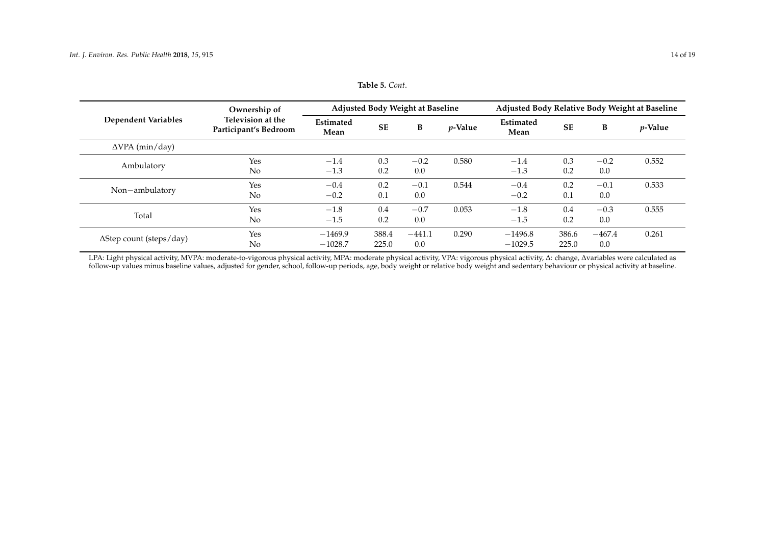|                                 | Ownership of                               |                          |                | Adjusted Body Weight at Baseline |            | Adjusted Body Relative Body Weight at Baseline |                |                 |                 |  |  |
|---------------------------------|--------------------------------------------|--------------------------|----------------|----------------------------------|------------|------------------------------------------------|----------------|-----------------|-----------------|--|--|
| <b>Dependent Variables</b>      | Television at the<br>Participant's Bedroom | <b>Estimated</b><br>Mean | <b>SE</b>      | B                                | $p$ -Value | <b>Estimated</b><br>Mean                       | <b>SE</b>      | B               | <i>p</i> -Value |  |  |
| $\Delta VPA$ (min/day)          |                                            |                          |                |                                  |            |                                                |                |                 |                 |  |  |
| Ambulatory                      | Yes<br>No                                  | $-1.4$<br>$-1.3$         | 0.3<br>0.2     | $-0.2$<br>0.0                    | 0.580      | $-1.4$<br>$-1.3$                               | 0.3<br>0.2     | $-0.2$<br>0.0   | 0.552           |  |  |
| Non-ambulatory                  | Yes<br>No                                  | $-0.4$<br>$-0.2$         | 0.2<br>0.1     | $-0.1$<br>0.0                    | 0.544      | $-0.4$<br>$-0.2$                               | 0.2<br>0.1     | $-0.1$<br>0.0   | 0.533           |  |  |
| Total                           | Yes<br>No                                  | $-1.8$<br>$-1.5$         | 0.4<br>0.2     | $-0.7$<br>0.0                    | 0.053      | $-1.8$<br>$-1.5$                               | 0.4<br>0.2     | $-0.3$<br>0.0   | 0.555           |  |  |
| $\Delta$ Step count (steps/day) | Yes<br>No                                  | $-1469.9$<br>$-1028.7$   | 388.4<br>225.0 | $-441.1$<br>0.0                  | 0.290      | $-1496.8$<br>$-1029.5$                         | 386.6<br>225.0 | $-467.4$<br>0.0 | 0.261           |  |  |

#### **Table 5.** *Cont*.

<span id="page-13-0"></span>LPA: Light physical activity, MVPA: moderate-to-vigorous physical activity, MPA: moderate physical activity, VPA: vigorous physical activity, ∆: change, ∆variables were calculated as follow-up values minus baseline values, adjusted for gender, school, follow-up periods, age, body weight or relative body weight and sedentary behaviour or physical activity at baseline.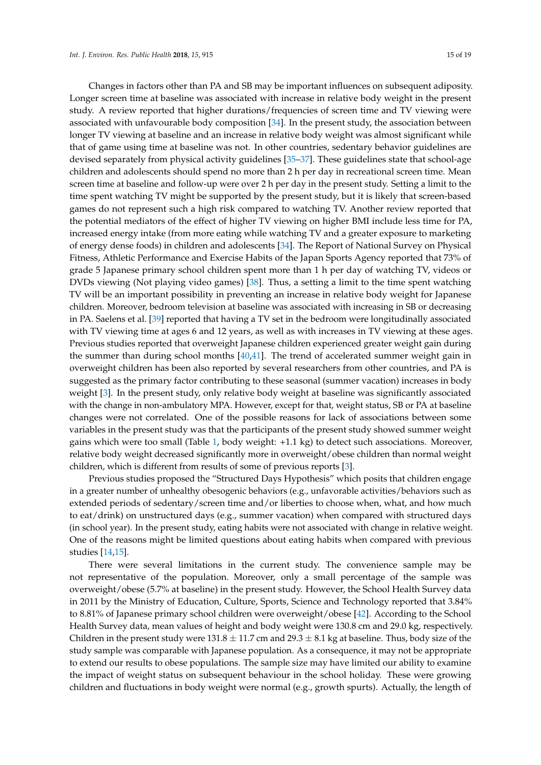Changes in factors other than PA and SB may be important influences on subsequent adiposity. Longer screen time at baseline was associated with increase in relative body weight in the present study. A review reported that higher durations/frequencies of screen time and TV viewing were associated with unfavourable body composition [\[34\]](#page-17-10). In the present study, the association between longer TV viewing at baseline and an increase in relative body weight was almost significant while that of game using time at baseline was not. In other countries, sedentary behavior guidelines are devised separately from physical activity guidelines [\[35–](#page-17-11)[37\]](#page-17-12). These guidelines state that school-age children and adolescents should spend no more than 2 h per day in recreational screen time. Mean screen time at baseline and follow-up were over 2 h per day in the present study. Setting a limit to the time spent watching TV might be supported by the present study, but it is likely that screen-based games do not represent such a high risk compared to watching TV. Another review reported that the potential mediators of the effect of higher TV viewing on higher BMI include less time for PA, increased energy intake (from more eating while watching TV and a greater exposure to marketing of energy dense foods) in children and adolescents [\[34\]](#page-17-10). The Report of National Survey on Physical Fitness, Athletic Performance and Exercise Habits of the Japan Sports Agency reported that 73% of grade 5 Japanese primary school children spent more than 1 h per day of watching TV, videos or DVDs viewing (Not playing video games) [\[38\]](#page-17-13). Thus, a setting a limit to the time spent watching TV will be an important possibility in preventing an increase in relative body weight for Japanese children. Moreover, bedroom television at baseline was associated with increasing in SB or decreasing in PA. Saelens et al. [\[39\]](#page-17-14) reported that having a TV set in the bedroom were longitudinally associated with TV viewing time at ages 6 and 12 years, as well as with increases in TV viewing at these ages. Previous studies reported that overweight Japanese children experienced greater weight gain during the summer than during school months [\[40,](#page-17-15)[41\]](#page-18-0). The trend of accelerated summer weight gain in overweight children has been also reported by several researchers from other countries, and PA is suggested as the primary factor contributing to these seasonal (summer vacation) increases in body weight [\[3\]](#page-16-1). In the present study, only relative body weight at baseline was significantly associated with the change in non-ambulatory MPA. However, except for that, weight status, SB or PA at baseline changes were not correlated. One of the possible reasons for lack of associations between some variables in the present study was that the participants of the present study showed summer weight gains which were too small (Table [1,](#page-4-0) body weight: +1.1 kg) to detect such associations. Moreover, relative body weight decreased significantly more in overweight/obese children than normal weight children, which is different from results of some of previous reports [\[3\]](#page-16-1).

Previous studies proposed the "Structured Days Hypothesis" which posits that children engage in a greater number of unhealthy obesogenic behaviors (e.g., unfavorable activities/behaviors such as extended periods of sedentary/screen time and/or liberties to choose when, what, and how much to eat/drink) on unstructured days (e.g., summer vacation) when compared with structured days (in school year). In the present study, eating habits were not associated with change in relative weight. One of the reasons might be limited questions about eating habits when compared with previous studies [\[14](#page-16-10)[,15\]](#page-16-11).

There were several limitations in the current study. The convenience sample may be not representative of the population. Moreover, only a small percentage of the sample was overweight/obese (5.7% at baseline) in the present study. However, the School Health Survey data in 2011 by the Ministry of Education, Culture, Sports, Science and Technology reported that 3.84% to 8.81% of Japanese primary school children were overweight/obese [\[42\]](#page-18-1). According to the School Health Survey data, mean values of height and body weight were 130.8 cm and 29.0 kg, respectively. Children in the present study were  $131.8 \pm 11.7$  cm and  $29.3 \pm 8.1$  kg at baseline. Thus, body size of the study sample was comparable with Japanese population. As a consequence, it may not be appropriate to extend our results to obese populations. The sample size may have limited our ability to examine the impact of weight status on subsequent behaviour in the school holiday. These were growing children and fluctuations in body weight were normal (e.g., growth spurts). Actually, the length of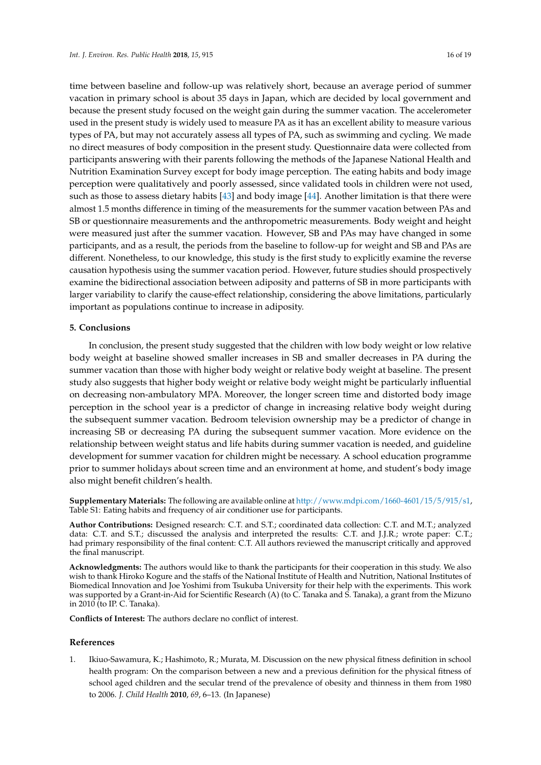time between baseline and follow-up was relatively short, because an average period of summer vacation in primary school is about 35 days in Japan, which are decided by local government and because the present study focused on the weight gain during the summer vacation. The accelerometer used in the present study is widely used to measure PA as it has an excellent ability to measure various types of PA, but may not accurately assess all types of PA, such as swimming and cycling. We made no direct measures of body composition in the present study. Questionnaire data were collected from participants answering with their parents following the methods of the Japanese National Health and Nutrition Examination Survey except for body image perception. The eating habits and body image perception were qualitatively and poorly assessed, since validated tools in children were not used, such as those to assess dietary habits [\[43\]](#page-18-2) and body image [\[44\]](#page-18-3). Another limitation is that there were almost 1.5 months difference in timing of the measurements for the summer vacation between PAs and SB or questionnaire measurements and the anthropometric measurements. Body weight and height were measured just after the summer vacation. However, SB and PAs may have changed in some participants, and as a result, the periods from the baseline to follow-up for weight and SB and PAs are different. Nonetheless, to our knowledge, this study is the first study to explicitly examine the reverse causation hypothesis using the summer vacation period. However, future studies should prospectively examine the bidirectional association between adiposity and patterns of SB in more participants with larger variability to clarify the cause-effect relationship, considering the above limitations, particularly important as populations continue to increase in adiposity.

#### **5. Conclusions**

In conclusion, the present study suggested that the children with low body weight or low relative body weight at baseline showed smaller increases in SB and smaller decreases in PA during the summer vacation than those with higher body weight or relative body weight at baseline. The present study also suggests that higher body weight or relative body weight might be particularly influential on decreasing non-ambulatory MPA. Moreover, the longer screen time and distorted body image perception in the school year is a predictor of change in increasing relative body weight during the subsequent summer vacation. Bedroom television ownership may be a predictor of change in increasing SB or decreasing PA during the subsequent summer vacation. More evidence on the relationship between weight status and life habits during summer vacation is needed, and guideline development for summer vacation for children might be necessary. A school education programme prior to summer holidays about screen time and an environment at home, and student's body image also might benefit children's health.

**Supplementary Materials:** The following are available online at [http://www.mdpi.com/1660-4601/15/5/915/s1,](http://www.mdpi.com/1660-4601/15/5/915/s1) Table S1: Eating habits and frequency of air conditioner use for participants.

**Author Contributions:** Designed research: C.T. and S.T.; coordinated data collection: C.T. and M.T.; analyzed data: C.T. and S.T.; discussed the analysis and interpreted the results: C.T. and J.J.R.; wrote paper: C.T.; had primary responsibility of the final content: C.T. All authors reviewed the manuscript critically and approved the final manuscript.

**Acknowledgments:** The authors would like to thank the participants for their cooperation in this study. We also wish to thank Hiroko Kogure and the staffs of the National Institute of Health and Nutrition, National Institutes of Biomedical Innovation and Joe Yoshimi from Tsukuba University for their help with the experiments. This work was supported by a Grant-in-Aid for Scientific Research (A) (to C. Tanaka and S. Tanaka), a grant from the Mizuno in 2010 (to IP. C. Tanaka).

**Conflicts of Interest:** The authors declare no conflict of interest.

#### **References**

<span id="page-15-0"></span>1. Ikiuo-Sawamura, K.; Hashimoto, R.; Murata, M. Discussion on the new physical fitness definition in school health program: On the comparison between a new and a previous definition for the physical fitness of school aged children and the secular trend of the prevalence of obesity and thinness in them from 1980 to 2006. *J. Child Health* **2010**, *69*, 6–13. (In Japanese)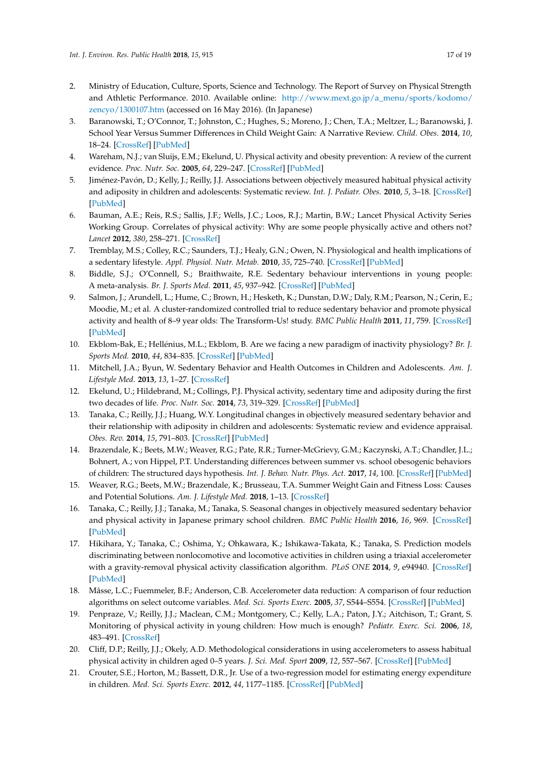- <span id="page-16-0"></span>2. Ministry of Education, Culture, Sports, Science and Technology. The Report of Survey on Physical Strength and Athletic Performance. 2010. Available online: [http://www.mext.go.jp/a\\_menu/sports/kodomo/](http://www.mext.go.jp/a_menu/sports/kodomo/zencyo/1300107.htm) [zencyo/1300107.htm](http://www.mext.go.jp/a_menu/sports/kodomo/zencyo/1300107.htm) (accessed on 16 May 2016). (In Japanese)
- <span id="page-16-1"></span>3. Baranowski, T.; O'Connor, T.; Johnston, C.; Hughes, S.; Moreno, J.; Chen, T.A.; Meltzer, L.; Baranowski, J. School Year Versus Summer Differences in Child Weight Gain: A Narrative Review. *Child. Obes.* **2014**, *10*, 18–24. [\[CrossRef\]](http://dx.doi.org/10.1089/chi.2013.0116) [\[PubMed\]](http://www.ncbi.nlm.nih.gov/pubmed/24367922)
- <span id="page-16-2"></span>4. Wareham, N.J.; van Sluijs, E.M.; Ekelund, U. Physical activity and obesity prevention: A review of the current evidence. *Proc. Nutr. Soc.* **2005**, *64*, 229–247. [\[CrossRef\]](http://dx.doi.org/10.1079/PNS2005423) [\[PubMed\]](http://www.ncbi.nlm.nih.gov/pubmed/15960868)
- <span id="page-16-3"></span>5. Jiménez-Pavón, D.; Kelly, J.; Reilly, J.J. Associations between objectively measured habitual physical activity and adiposity in children and adolescents: Systematic review. *Int. J. Pediatr. Obes.* **2010**, *5*, 3–18. [\[CrossRef\]](http://dx.doi.org/10.3109/17477160903067601) [\[PubMed\]](http://www.ncbi.nlm.nih.gov/pubmed/19562608)
- <span id="page-16-4"></span>6. Bauman, A.E.; Reis, R.S.; Sallis, J.F.; Wells, J.C.; Loos, R.J.; Martin, B.W.; Lancet Physical Activity Series Working Group. Correlates of physical activity: Why are some people physically active and others not? *Lancet* **2012**, *380*, 258–271. [\[CrossRef\]](http://dx.doi.org/10.1016/S0140-6736(12)60735-1)
- <span id="page-16-5"></span>7. Tremblay, M.S.; Colley, R.C.; Saunders, T.J.; Healy, G.N.; Owen, N. Physiological and health implications of a sedentary lifestyle. *Appl. Physiol. Nutr. Metab.* **2010**, *35*, 725–740. [\[CrossRef\]](http://dx.doi.org/10.1139/H10-079) [\[PubMed\]](http://www.ncbi.nlm.nih.gov/pubmed/21164543)
- 8. Biddle, S.J.; O'Connell, S.; Braithwaite, R.E. Sedentary behaviour interventions in young people: A meta-analysis. *Br. J. Sports Med.* **2011**, *45*, 937–942. [\[CrossRef\]](http://dx.doi.org/10.1136/bjsports-2011-090205) [\[PubMed\]](http://www.ncbi.nlm.nih.gov/pubmed/21807671)
- <span id="page-16-6"></span>9. Salmon, J.; Arundell, L.; Hume, C.; Brown, H.; Hesketh, K.; Dunstan, D.W.; Daly, R.M.; Pearson, N.; Cerin, E.; Moodie, M.; et al. A cluster-randomized controlled trial to reduce sedentary behavior and promote physical activity and health of 8–9 year olds: The Transform-Us! study. *BMC Public Health* **2011**, *11*, 759. [\[CrossRef\]](http://dx.doi.org/10.1186/1471-2458-11-759) [\[PubMed\]](http://www.ncbi.nlm.nih.gov/pubmed/21970511)
- <span id="page-16-7"></span>10. Ekblom-Bak, E.; Hellénius, M.L.; Ekblom, B. Are we facing a new paradigm of inactivity physiology? *Br. J. Sports Med.* **2010**, *44*, 834–835. [\[CrossRef\]](http://dx.doi.org/10.1136/bjsm.2009.067702) [\[PubMed\]](http://www.ncbi.nlm.nih.gov/pubmed/20133325)
- <span id="page-16-8"></span>11. Mitchell, J.A.; Byun, W. Sedentary Behavior and Health Outcomes in Children and Adolescents. *Am. J. Lifestyle Med.* **2013**, *13*, 1–27. [\[CrossRef\]](http://dx.doi.org/10.1177/1559827613498700)
- 12. Ekelund, U.; Hildebrand, M.; Collings, P.J. Physical activity, sedentary time and adiposity during the first two decades of life. *Proc. Nutr. Soc.* **2014**, *73*, 319–329. [\[CrossRef\]](http://dx.doi.org/10.1017/S0029665114000019) [\[PubMed\]](http://www.ncbi.nlm.nih.gov/pubmed/24548769)
- <span id="page-16-9"></span>13. Tanaka, C.; Reilly, J.J.; Huang, W.Y. Longitudinal changes in objectively measured sedentary behavior and their relationship with adiposity in children and adolescents: Systematic review and evidence appraisal. *Obes. Rev.* **2014**, *15*, 791–803. [\[CrossRef\]](http://dx.doi.org/10.1111/obr.12195) [\[PubMed\]](http://www.ncbi.nlm.nih.gov/pubmed/24899125)
- <span id="page-16-10"></span>14. Brazendale, K.; Beets, M.W.; Weaver, R.G.; Pate, R.R.; Turner-McGrievy, G.M.; Kaczynski, A.T.; Chandler, J.L.; Bohnert, A.; von Hippel, P.T. Understanding differences between summer vs. school obesogenic behaviors of children: The structured days hypothesis. *Int. J. Behav. Nutr. Phys. Act.* **2017**, *14*, 100. [\[CrossRef\]](http://dx.doi.org/10.1186/s12966-017-0555-2) [\[PubMed\]](http://www.ncbi.nlm.nih.gov/pubmed/28747186)
- <span id="page-16-11"></span>15. Weaver, R.G.; Beets, M.W.; Brazendale, K.; Brusseau, T.A. Summer Weight Gain and Fitness Loss: Causes and Potential Solutions. *Am. J. Lifestyle Med.* **2018**, 1–13. [\[CrossRef\]](http://dx.doi.org/10.1177/1559827617750576)
- <span id="page-16-12"></span>16. Tanaka, C.; Reilly, J.J.; Tanaka, M.; Tanaka, S. Seasonal changes in objectively measured sedentary behavior and physical activity in Japanese primary school children. *BMC Public Health* **2016**, *16*, 969. [\[CrossRef\]](http://dx.doi.org/10.1186/s12889-016-3633-5) [\[PubMed\]](http://www.ncbi.nlm.nih.gov/pubmed/27618879)
- <span id="page-16-13"></span>17. Hikihara, Y.; Tanaka, C.; Oshima, Y.; Ohkawara, K.; Ishikawa-Takata, K.; Tanaka, S. Prediction models discriminating between nonlocomotive and locomotive activities in children using a triaxial accelerometer with a gravity-removal physical activity classification algorithm. *PLoS ONE* **2014**, *9*, e94940. [\[CrossRef\]](http://dx.doi.org/10.1371/journal.pone.0094940) [\[PubMed\]](http://www.ncbi.nlm.nih.gov/pubmed/24755646)
- <span id="page-16-14"></span>18. Mâsse, L.C.; Fuemmeler, B.F.; Anderson, C.B. Accelerometer data reduction: A comparison of four reduction algorithms on select outcome variables. *Med. Sci. Sports Exerc.* **2005**, *37*, S544–S554. [\[CrossRef\]](http://dx.doi.org/10.1249/01.mss.0000185674.09066.8a) [\[PubMed\]](http://www.ncbi.nlm.nih.gov/pubmed/16294117)
- <span id="page-16-15"></span>19. Penpraze, V.; Reilly, J.J.; Maclean, C.M.; Montgomery, C.; Kelly, L.A.; Paton, J.Y.; Aitchison, T.; Grant, S. Monitoring of physical activity in young children: How much is enough? *Pediatr. Exerc. Sci.* **2006**, *18*, 483–491. [\[CrossRef\]](http://dx.doi.org/10.1123/pes.18.4.483)
- <span id="page-16-16"></span>20. Cliff, D.P.; Reilly, J.J.; Okely, A.D. Methodological considerations in using accelerometers to assess habitual physical activity in children aged 0–5 years. *J. Sci. Med. Sport* **2009**, *12*, 557–567. [\[CrossRef\]](http://dx.doi.org/10.1016/j.jsams.2008.10.008) [\[PubMed\]](http://www.ncbi.nlm.nih.gov/pubmed/19147404)
- <span id="page-16-17"></span>21. Crouter, S.E.; Horton, M.; Bassett, D.R., Jr. Use of a two-regression model for estimating energy expenditure in children. *Med. Sci. Sports Exerc.* **2012**, *44*, 1177–1185. [\[CrossRef\]](http://dx.doi.org/10.1249/MSS.0b013e3182447825) [\[PubMed\]](http://www.ncbi.nlm.nih.gov/pubmed/22143114)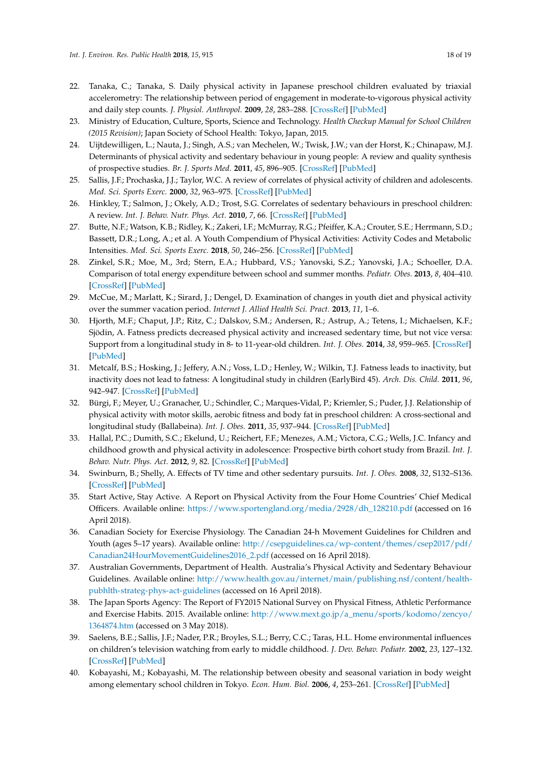- <span id="page-17-0"></span>22. Tanaka, C.; Tanaka, S. Daily physical activity in Japanese preschool children evaluated by triaxial accelerometry: The relationship between period of engagement in moderate-to-vigorous physical activity and daily step counts. *J. Physiol. Anthropol.* **2009**, *28*, 283–288. [\[CrossRef\]](http://dx.doi.org/10.2114/jpa2.28.283) [\[PubMed\]](http://www.ncbi.nlm.nih.gov/pubmed/20009376)
- <span id="page-17-1"></span>23. Ministry of Education, Culture, Sports, Science and Technology. *Health Checkup Manual for School Children (2015 Revision)*; Japan Society of School Health: Tokyo, Japan, 2015.
- <span id="page-17-2"></span>24. Uijtdewilligen, L.; Nauta, J.; Singh, A.S.; van Mechelen, W.; Twisk, J.W.; van der Horst, K.; Chinapaw, M.J. Determinants of physical activity and sedentary behaviour in young people: A review and quality synthesis of prospective studies. *Br. J. Sports Med.* **2011**, *45*, 896–905. [\[CrossRef\]](http://dx.doi.org/10.1136/bjsports-2011-090197) [\[PubMed\]](http://www.ncbi.nlm.nih.gov/pubmed/21836173)
- 25. Sallis, J.F.; Prochaska, J.J.; Taylor, W.C. A review of correlates of physical activity of children and adolescents. *Med. Sci. Sports Exerc.* **2000**, *32*, 963–975. [\[CrossRef\]](http://dx.doi.org/10.1097/00005768-200005000-00014) [\[PubMed\]](http://www.ncbi.nlm.nih.gov/pubmed/10795788)
- <span id="page-17-3"></span>26. Hinkley, T.; Salmon, J.; Okely, A.D.; Trost, S.G. Correlates of sedentary behaviours in preschool children: A review. *Int. J. Behav. Nutr. Phys. Act.* **2010**, *7*, 66. [\[CrossRef\]](http://dx.doi.org/10.1186/1479-5868-7-66) [\[PubMed\]](http://www.ncbi.nlm.nih.gov/pubmed/20825682)
- <span id="page-17-4"></span>27. Butte, N.F.; Watson, K.B.; Ridley, K.; Zakeri, I.F.; McMurray, R.G.; Pfeiffer, K.A.; Crouter, S.E.; Herrmann, S.D.; Bassett, D.R.; Long, A.; et al. A Youth Compendium of Physical Activities: Activity Codes and Metabolic Intensities. *Med. Sci. Sports Exerc.* **2018**, *50*, 246–256. [\[CrossRef\]](http://dx.doi.org/10.1249/MSS.0000000000001430) [\[PubMed\]](http://www.ncbi.nlm.nih.gov/pubmed/28938248)
- <span id="page-17-5"></span>28. Zinkel, S.R.; Moe, M., 3rd; Stern, E.A.; Hubbard, V.S.; Yanovski, S.Z.; Yanovski, J.A.; Schoeller, D.A. Comparison of total energy expenditure between school and summer months. *Pediatr. Obes.* **2013**, *8*, 404–410. [\[CrossRef\]](http://dx.doi.org/10.1111/j.2047-6310.2012.00120.x) [\[PubMed\]](http://www.ncbi.nlm.nih.gov/pubmed/23637099)
- <span id="page-17-6"></span>29. McCue, M.; Marlatt, K.; Sirard, J.; Dengel, D. Examination of changes in youth diet and physical activity over the summer vacation period. *Internet J. Allied Health Sci. Pract.* **2013**, *11*, 1–6.
- <span id="page-17-7"></span>30. Hjorth, M.F.; Chaput, J.P.; Ritz, C.; Dalskov, S.M.; Andersen, R.; Astrup, A.; Tetens, I.; Michaelsen, K.F.; Sjödin, A. Fatness predicts decreased physical activity and increased sedentary time, but not vice versa: Support from a longitudinal study in 8- to 11-year-old children. *Int. J. Obes.* **2014**, *38*, 959–965. [\[CrossRef\]](http://dx.doi.org/10.1038/ijo.2013.229) [\[PubMed\]](http://www.ncbi.nlm.nih.gov/pubmed/24304596)
- 31. Metcalf, B.S.; Hosking, J.; Jeffery, A.N.; Voss, L.D.; Henley, W.; Wilkin, T.J. Fatness leads to inactivity, but inactivity does not lead to fatness: A longitudinal study in children (EarlyBird 45). *Arch. Dis. Child.* **2011**, *96*, 942–947. [\[CrossRef\]](http://dx.doi.org/10.1136/adc.2009.175927) [\[PubMed\]](http://www.ncbi.nlm.nih.gov/pubmed/20573741)
- <span id="page-17-9"></span>32. Bürgi, F.; Meyer, U.; Granacher, U.; Schindler, C.; Marques-Vidal, P.; Kriemler, S.; Puder, J.J. Relationship of physical activity with motor skills, aerobic fitness and body fat in preschool children: A cross-sectional and longitudinal study (Ballabeina). *Int. J. Obes.* **2011**, *35*, 937–944. [\[CrossRef\]](http://dx.doi.org/10.1038/ijo.2011.54) [\[PubMed\]](http://www.ncbi.nlm.nih.gov/pubmed/21448128)
- <span id="page-17-8"></span>33. Hallal, P.C.; Dumith, S.C.; Ekelund, U.; Reichert, F.F.; Menezes, A.M.; Victora, C.G.; Wells, J.C. Infancy and childhood growth and physical activity in adolescence: Prospective birth cohort study from Brazil. *Int. J. Behav. Nutr. Phys. Act.* **2012**, *9*, 82. [\[CrossRef\]](http://dx.doi.org/10.1186/1479-5868-9-82) [\[PubMed\]](http://www.ncbi.nlm.nih.gov/pubmed/22747581)
- <span id="page-17-10"></span>34. Swinburn, B.; Shelly, A. Effects of TV time and other sedentary pursuits. *Int. J. Obes.* **2008**, *32*, S132–S136. [\[CrossRef\]](http://dx.doi.org/10.1038/ijo.2008.249) [\[PubMed\]](http://www.ncbi.nlm.nih.gov/pubmed/19136983)
- <span id="page-17-11"></span>35. Start Active, Stay Active. A Report on Physical Activity from the Four Home Countries' Chief Medical Officers. Available online: [https://www.sportengland.org/media/2928/dh\\_128210.pdf](https://www.sportengland.org/media/2928/dh_128210.pdf) (accessed on 16 April 2018).
- 36. Canadian Society for Exercise Physiology. The Canadian 24-h Movement Guidelines for Children and Youth (ages 5–17 years). Available online: [http://csepguidelines.ca/wp-content/themes/csep2017/pdf/](http://csepguidelines.ca/wp-content/themes/csep2017/pdf/Canadian24HourMovementGuidelines2016_2.pdf) [Canadian24HourMovementGuidelines2016\\_2.pdf](http://csepguidelines.ca/wp-content/themes/csep2017/pdf/Canadian24HourMovementGuidelines2016_2.pdf) (accessed on 16 April 2018).
- <span id="page-17-12"></span>37. Australian Governments, Department of Health. Australia's Physical Activity and Sedentary Behaviour Guidelines. Available online: [http://www.health.gov.au/internet/main/publishing.nsf/content/health](http://www.health.gov.au/internet/main/publishing.nsf/content/health-pubhlth-strateg-phys-act-guidelines)[pubhlth-strateg-phys-act-guidelines](http://www.health.gov.au/internet/main/publishing.nsf/content/health-pubhlth-strateg-phys-act-guidelines) (accessed on 16 April 2018).
- <span id="page-17-13"></span>38. The Japan Sports Agency: The Report of FY2015 National Survey on Physical Fitness, Athletic Performance and Exercise Habits. 2015. Available online: [http://www.mext.go.jp/a\\_menu/sports/kodomo/zencyo/](http://www.mext.go.jp/a_menu/sports/kodomo/zencyo/1364874.htm) [1364874.htm](http://www.mext.go.jp/a_menu/sports/kodomo/zencyo/1364874.htm) (accessed on 3 May 2018).
- <span id="page-17-14"></span>39. Saelens, B.E.; Sallis, J.F.; Nader, P.R.; Broyles, S.L.; Berry, C.C.; Taras, H.L. Home environmental influences on children's television watching from early to middle childhood. *J. Dev. Behav. Pediatr.* **2002**, *23*, 127–132. [\[CrossRef\]](http://dx.doi.org/10.1097/00004703-200206000-00001) [\[PubMed\]](http://www.ncbi.nlm.nih.gov/pubmed/12055494)
- <span id="page-17-15"></span>40. Kobayashi, M.; Kobayashi, M. The relationship between obesity and seasonal variation in body weight among elementary school children in Tokyo. *Econ. Hum. Biol.* **2006**, *4*, 253–261. [\[CrossRef\]](http://dx.doi.org/10.1016/j.ehb.2005.08.002) [\[PubMed\]](http://www.ncbi.nlm.nih.gov/pubmed/16154393)